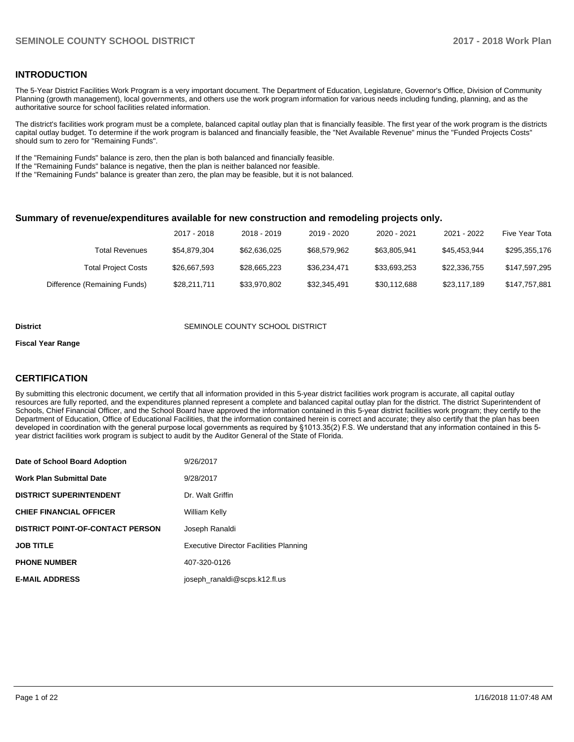## **INTRODUCTION**

The 5-Year District Facilities Work Program is a very important document. The Department of Education, Legislature, Governor's Office, Division of Community Planning (growth management), local governments, and others use the work program information for various needs including funding, planning, and as the authoritative source for school facilities related information.

The district's facilities work program must be a complete, balanced capital outlay plan that is financially feasible. The first year of the work program is the districts capital outlay budget. To determine if the work program is balanced and financially feasible, the "Net Available Revenue" minus the "Funded Projects Costs" should sum to zero for "Remaining Funds".

If the "Remaining Funds" balance is zero, then the plan is both balanced and financially feasible.

If the "Remaining Funds" balance is negative, then the plan is neither balanced nor feasible.

If the "Remaining Funds" balance is greater than zero, the plan may be feasible, but it is not balanced.

#### **Summary of revenue/expenditures available for new construction and remodeling projects only.**

|                              | 2017 - 2018  | 2018 - 2019  | 2019 - 2020  | 2020 - 2021  | 2021 - 2022  | Five Year Tota |
|------------------------------|--------------|--------------|--------------|--------------|--------------|----------------|
| Total Revenues               | \$54,879,304 | \$62.636.025 | \$68,579,962 | \$63.805.941 | \$45.453.944 | \$295,355,176  |
| <b>Total Project Costs</b>   | \$26,667,593 | \$28.665.223 | \$36.234.471 | \$33.693.253 | \$22,336,755 | \$147,597,295  |
| Difference (Remaining Funds) | \$28.211.711 | \$33.970.802 | \$32.345.491 | \$30.112.688 | \$23.117.189 | \$147,757,881  |

#### **District SEMINOLE COUNTY SCHOOL DISTRICT**

#### **Fiscal Year Range**

## **CERTIFICATION**

By submitting this electronic document, we certify that all information provided in this 5-year district facilities work program is accurate, all capital outlay resources are fully reported, and the expenditures planned represent a complete and balanced capital outlay plan for the district. The district Superintendent of Schools, Chief Financial Officer, and the School Board have approved the information contained in this 5-year district facilities work program; they certify to the Department of Education, Office of Educational Facilities, that the information contained herein is correct and accurate; they also certify that the plan has been developed in coordination with the general purpose local governments as required by §1013.35(2) F.S. We understand that any information contained in this 5year district facilities work program is subject to audit by the Auditor General of the State of Florida.

| Date of School Board Adoption           | 9/26/2017                                     |
|-----------------------------------------|-----------------------------------------------|
| Work Plan Submittal Date                | 9/28/2017                                     |
| <b>DISTRICT SUPERINTENDENT</b>          | Dr. Walt Griffin                              |
| <b>CHIEF FINANCIAL OFFICER</b>          | William Kelly                                 |
| <b>DISTRICT POINT-OF-CONTACT PERSON</b> | Joseph Ranaldi                                |
| JOB TITLE                               | <b>Executive Director Facilities Planning</b> |
| <b>PHONE NUMBER</b>                     | 407-320-0126                                  |
| <b>E-MAIL ADDRESS</b>                   | joseph ranaldi@scps.k12.fl.us                 |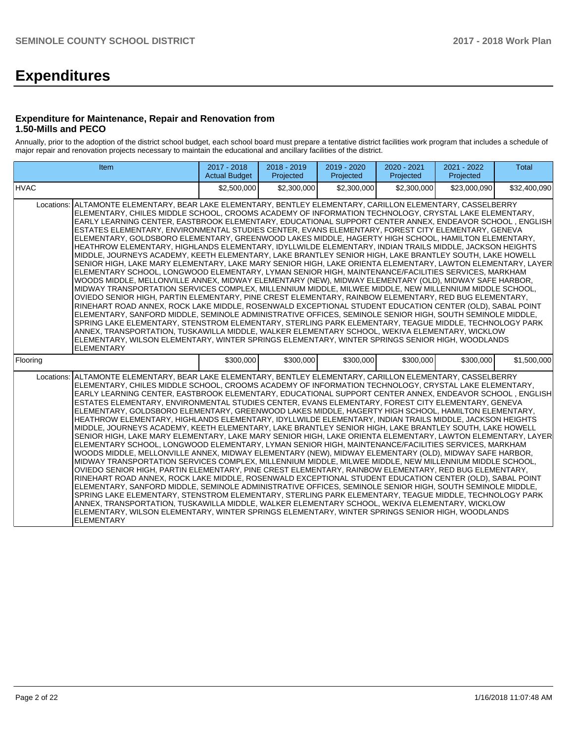# **Expenditures**

## **Expenditure for Maintenance, Repair and Renovation from 1.50-Mills and PECO**

Annually, prior to the adoption of the district school budget, each school board must prepare a tentative district facilities work program that includes a schedule of major repair and renovation projects necessary to maintain the educational and ancillary facilities of the district.

| Item                                                                                                                                                                                                                                                                                                                                                                                                                                                                                                                                                                                                                                                                                                                                                                                                                                                                                                                                                                                                                                                                                                                                                                                                                                                                                                                                                                                                                                                                                                                                                                                                                                                                                                                                                                                                                                                                                  | 2017 - 2018<br><b>Actual Budget</b> | 2018 - 2019<br>Projected | 2019 - 2020<br>Projected | 2020 - 2021<br>Projected | 2021 - 2022<br>Projected | <b>Total</b> |  |  |
|---------------------------------------------------------------------------------------------------------------------------------------------------------------------------------------------------------------------------------------------------------------------------------------------------------------------------------------------------------------------------------------------------------------------------------------------------------------------------------------------------------------------------------------------------------------------------------------------------------------------------------------------------------------------------------------------------------------------------------------------------------------------------------------------------------------------------------------------------------------------------------------------------------------------------------------------------------------------------------------------------------------------------------------------------------------------------------------------------------------------------------------------------------------------------------------------------------------------------------------------------------------------------------------------------------------------------------------------------------------------------------------------------------------------------------------------------------------------------------------------------------------------------------------------------------------------------------------------------------------------------------------------------------------------------------------------------------------------------------------------------------------------------------------------------------------------------------------------------------------------------------------|-------------------------------------|--------------------------|--------------------------|--------------------------|--------------------------|--------------|--|--|
| <b>HVAC</b>                                                                                                                                                                                                                                                                                                                                                                                                                                                                                                                                                                                                                                                                                                                                                                                                                                                                                                                                                                                                                                                                                                                                                                                                                                                                                                                                                                                                                                                                                                                                                                                                                                                                                                                                                                                                                                                                           | \$2,500,000                         | \$2,300,000              | \$2,300,000              | \$2,300,000              | \$23,000,090             | \$32,400,090 |  |  |
| ALTAMONTE ELEMENTARY, BEAR LAKE ELEMENTARY, BENTLEY ELEMENTARY, CARILLON ELEMENTARY, CASSELBERRY<br>Locations:<br>ELEMENTARY, CHILES MIDDLE SCHOOL, CROOMS ACADEMY OF INFORMATION TECHNOLOGY, CRYSTAL LAKE ELEMENTARY,<br>EARLY LEARNING CENTER, EASTBROOK ELEMENTARY, EDUCATIONAL SUPPORT CENTER ANNEX, ENDEAVOR SCHOOL, ENGLISH<br>ESTATES ELEMENTARY, ENVIRONMENTAL STUDIES CENTER, EVANS ELEMENTARY, FOREST CITY ELEMENTARY, GENEVA<br>ELEMENTARY, GOLDSBORO ELEMENTARY, GREENWOOD LAKES MIDDLE, HAGERTY HIGH SCHOOL, HAMILTON ELEMENTARY,<br>HEATHROW ELEMENTARY, HIGHLANDS ELEMENTARY, IDYLLWILDE ELEMENTARY, INDIAN TRAILS MIDDLE, JACKSON HEIGHTS<br>MIDDLE, JOURNEYS ACADEMY, KEETH ELEMENTARY, LAKE BRANTLEY SENIOR HIGH, LAKE BRANTLEY SOUTH, LAKE HOWELL<br>SENIOR HIGH, LAKE MARY ELEMENTARY, LAKE MARY SENIOR HIGH, LAKE ORIENTA ELEMENTARY, LAWTON ELEMENTARY, LAYER<br>ELEMENTARY SCHOOL, LONGWOOD ELEMENTARY, LYMAN SENIOR HIGH, MAINTENANCE/FACILITIES SERVICES, MARKHAM<br>WOODS MIDDLE, MELLONVILLE ANNEX, MIDWAY ELEMENTARY (NEW), MIDWAY ELEMENTARY (OLD), MIDWAY SAFE HARBOR,<br>MIDWAY TRANSPORTATION SERVICES COMPLEX, MILLENNIUM MIDDLE, MILWEE MIDDLE, NEW MILLENNIUM MIDDLE SCHOOL,<br>OVIEDO SENIOR HIGH, PARTIN ELEMENTARY, PINE CREST ELEMENTARY, RAINBOW ELEMENTARY, RED BUG ELEMENTARY,<br>RINEHART ROAD ANNEX, ROCK LAKE MIDDLE, ROSENWALD EXCEPTIONAL STUDENT EDUCATION CENTER (OLD), SABAL POINT<br>ELEMENTARY, SANFORD MIDDLE, SEMINOLE ADMINISTRATIVE OFFICES, SEMINOLE SENIOR HIGH, SOUTH SEMINOLE MIDDLE,<br>SPRING LAKE ELEMENTARY, STENSTROM ELEMENTARY, STERLING PARK ELEMENTARY, TEAGUE MIDDLE, TECHNOLOGY PARK<br>ANNEX, TRANSPORTATION, TUSKAWILLA MIDDLE, WALKER ELEMENTARY SCHOOL, WEKIVA ELEMENTARY, WICKLOW<br>ELEMENTARY, WILSON ELEMENTARY, WINTER SPRINGS ELEMENTARY, WINTER SPRINGS SENIOR HIGH, WOODLANDS<br><b>ELEMENTARY</b> |                                     |                          |                          |                          |                          |              |  |  |
| Flooring                                                                                                                                                                                                                                                                                                                                                                                                                                                                                                                                                                                                                                                                                                                                                                                                                                                                                                                                                                                                                                                                                                                                                                                                                                                                                                                                                                                                                                                                                                                                                                                                                                                                                                                                                                                                                                                                              | \$300,000                           | \$300,000                | \$300,000                | \$300,000                | \$300,000                | \$1,500,000  |  |  |
| Locations: ALTAMONTE ELEMENTARY, BEAR LAKE ELEMENTARY, BENTLEY ELEMENTARY, CARILLON ELEMENTARY, CASSELBERRY<br>ELEMENTARY, CHILES MIDDLE SCHOOL, CROOMS ACADEMY OF INFORMATION TECHNOLOGY, CRYSTAL LAKE ELEMENTARY,<br>EARLY LEARNING CENTER, EASTBROOK ELEMENTARY, EDUCATIONAL SUPPORT CENTER ANNEX, ENDEAVOR SCHOOL, ENGLISH<br>ESTATES ELEMENTARY, ENVIRONMENTAL STUDIES CENTER, EVANS ELEMENTARY, FOREST CITY ELEMENTARY, GENEVA<br>ELEMENTARY, GOLDSBORO ELEMENTARY, GREENWOOD LAKES MIDDLE, HAGERTY HIGH SCHOOL, HAMILTON ELEMENTARY,<br>HEATHROW ELEMENTARY, HIGHLANDS ELEMENTARY, IDYLLWILDE ELEMENTARY, INDIAN TRAILS MIDDLE, JACKSON HEIGHTS<br>MIDDLE, JOURNEYS ACADEMY, KEETH ELEMENTARY, LAKE BRANTLEY SENIOR HIGH, LAKE BRANTLEY SOUTH, LAKE HOWELL<br>SENIOR HIGH, LAKE MARY ELEMENTARY, LAKE MARY SENIOR HIGH, LAKE ORIENTA ELEMENTARY, LAWTON ELEMENTARY, LAYER<br>ELEMENTARY SCHOOL, LONGWOOD ELEMENTARY, LYMAN SENIOR HIGH, MAINTENANCE/FACILITIES SERVICES, MARKHAM<br>WOODS MIDDLE, MELLONVILLE ANNEX, MIDWAY ELEMENTARY (NEW), MIDWAY ELEMENTARY (OLD), MIDWAY SAFE HARBOR,<br>MIDWAY TRANSPORTATION SERVICES COMPLEX, MILLENNIUM MIDDLE, MILWEE MIDDLE, NEW MILLENNIUM MIDDLE SCHOOL,<br>OVIEDO SENIOR HIGH, PARTIN ELEMENTARY, PINE CREST ELEMENTARY, RAINBOW ELEMENTARY, RED BUG ELEMENTARY,<br>RINEHART ROAD ANNEX, ROCK LAKE MIDDLE, ROSENWALD EXCEPTIONAL STUDENT EDUCATION CENTER (OLD), SABAL POINT<br>ELEMENTARY, SANFORD MIDDLE, SEMINOLE ADMINISTRATIVE OFFICES, SEMINOLE SENIOR HIGH, SOUTH SEMINOLE MIDDLE,<br>SPRING LAKE ELEMENTARY, STENSTROM ELEMENTARY, STERLING PARK ELEMENTARY, TEAGUE MIDDLE, TECHNOLOGY PARK<br>ANNEX, TRANSPORTATION, TUSKAWILLA MIDDLE, WALKER ELEMENTARY SCHOOL, WEKIVA ELEMENTARY, WICKLOW<br>ELEMENTARY, WILSON ELEMENTARY, WINTER SPRINGS ELEMENTARY, WINTER SPRINGS SENIOR HIGH, WOODLANDS<br><b>ELEMENTARY</b>    |                                     |                          |                          |                          |                          |              |  |  |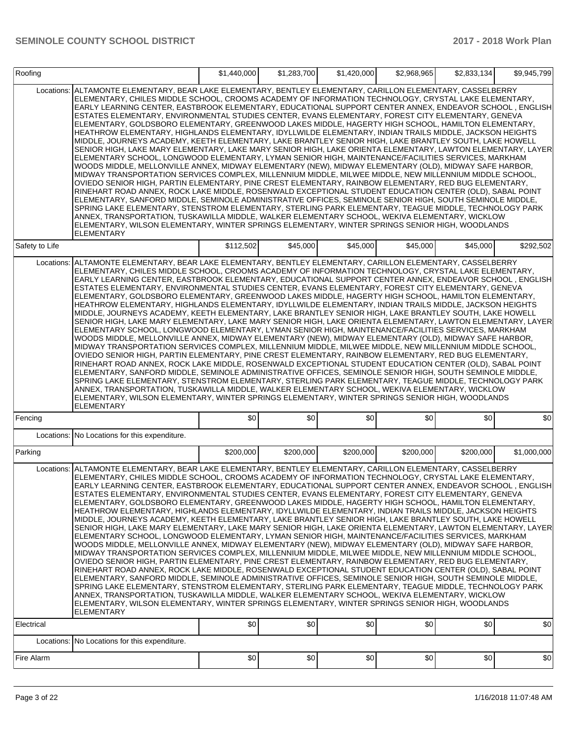| Roofing        |                                                                                                                                                                                                                                                                                                                                                                                                                                                                                                                                                                                                                                                                                                                                                                                                                                                                                                                                                                                                                                                                                                                                                                                                                                                                                                                                                                                                                                                                                                                                                                                                                                                                                                                                                                                                                                                                                    | \$1,440,000 | \$1,283,700 | \$1,420,000 | \$2,968,965 | \$2,833,134 | \$9,945,799 |
|----------------|------------------------------------------------------------------------------------------------------------------------------------------------------------------------------------------------------------------------------------------------------------------------------------------------------------------------------------------------------------------------------------------------------------------------------------------------------------------------------------------------------------------------------------------------------------------------------------------------------------------------------------------------------------------------------------------------------------------------------------------------------------------------------------------------------------------------------------------------------------------------------------------------------------------------------------------------------------------------------------------------------------------------------------------------------------------------------------------------------------------------------------------------------------------------------------------------------------------------------------------------------------------------------------------------------------------------------------------------------------------------------------------------------------------------------------------------------------------------------------------------------------------------------------------------------------------------------------------------------------------------------------------------------------------------------------------------------------------------------------------------------------------------------------------------------------------------------------------------------------------------------------|-------------|-------------|-------------|-------------|-------------|-------------|
| Locations:     | ALTAMONTE ELEMENTARY, BEAR LAKE ELEMENTARY, BENTLEY ELEMENTARY, CARILLON ELEMENTARY, CASSELBERRY<br>ELEMENTARY, CHILES MIDDLE SCHOOL, CROOMS ACADEMY OF INFORMATION TECHNOLOGY, CRYSTAL LAKE ELEMENTARY,<br>EARLY LEARNING CENTER, EASTBROOK ELEMENTARY, EDUCATIONAL SUPPORT CENTER ANNEX, ENDEAVOR SCHOOL, ENGLISH<br>ESTATES ELEMENTARY, ENVIRONMENTAL STUDIES CENTER, EVANS ELEMENTARY, FOREST CITY ELEMENTARY, GENEVA<br>ELEMENTARY, GOLDSBORO ELEMENTARY, GREENWOOD LAKES MIDDLE, HAGERTY HIGH SCHOOL, HAMILTON ELEMENTARY.<br>HEATHROW ELEMENTARY, HIGHLANDS ELEMENTARY, IDYLLWILDE ELEMENTARY, INDIAN TRAILS MIDDLE, JACKSON HEIGHTS<br>MIDDLE, JOURNEYS ACADEMY, KEETH ELEMENTARY, LAKE BRANTLEY SENIOR HIGH, LAKE BRANTLEY SOUTH, LAKE HOWELL<br>SENIOR HIGH, LAKE MARY ELEMENTARY, LAKE MARY SENIOR HIGH, LAKE ORIENTA ELEMENTARY, LAWTON ELEMENTARY, LAYER<br>ELEMENTARY SCHOOL, LONGWOOD ELEMENTARY, LYMAN SENIOR HIGH, MAINTENANCE/FACILITIES SERVICES, MARKHAM<br>WOODS MIDDLE, MELLONVILLE ANNEX, MIDWAY ELEMENTARY (NEW), MIDWAY ELEMENTARY (OLD), MIDWAY SAFE HARBOR,<br>MIDWAY TRANSPORTATION SERVICES COMPLEX, MILLENNIUM MIDDLE, MILWEE MIDDLE, NEW MILLENNIUM MIDDLE SCHOOL,<br>OVIEDO SENIOR HIGH, PARTIN ELEMENTARY, PINE CREST ELEMENTARY, RAINBOW ELEMENTARY, RED BUG ELEMENTARY,<br>RINEHART ROAD ANNEX, ROCK LAKE MIDDLE, ROSENWALD EXCEPTIONAL STUDENT EDUCATION CENTER (OLD), SABAL POINT<br>ELEMENTARY, SANFORD MIDDLE, SEMINOLE ADMINISTRATIVE OFFICES, SEMINOLE SENIOR HIGH, SOUTH SEMINOLE MIDDLE,<br>SPRING LAKE ELEMENTARY, STENSTROM ELEMENTARY, STERLING PARK ELEMENTARY, TEAGUE MIDDLE, TECHNOLOGY PARK<br>ANNEX, TRANSPORTATION, TUSKAWILLA MIDDLE, WALKER ELEMENTARY SCHOOL, WEKIVA ELEMENTARY, WICKLOW<br>ELEMENTARY, WILSON ELEMENTARY, WINTER SPRINGS ELEMENTARY, WINTER SPRINGS SENIOR HIGH, WOODLANDS<br>ELEMENTARY                   |             |             |             |             |             |             |
| Safety to Life |                                                                                                                                                                                                                                                                                                                                                                                                                                                                                                                                                                                                                                                                                                                                                                                                                                                                                                                                                                                                                                                                                                                                                                                                                                                                                                                                                                                                                                                                                                                                                                                                                                                                                                                                                                                                                                                                                    | \$112,502   | \$45,000    | \$45,000    | \$45,000    | \$45,000    | \$292,502   |
| Locations:     | ALTAMONTE ELEMENTARY, BEAR LAKE ELEMENTARY, BENTLEY ELEMENTARY, CARILLON ELEMENTARY, CASSELBERRY<br>ELEMENTARY, CHILES MIDDLE SCHOOL, CROOMS ACADEMY OF INFORMATION TECHNOLOGY, CRYSTAL LAKE ELEMENTARY,<br>EARLY LEARNING CENTER, EASTBROOK ELEMENTARY, EDUCATIONAL SUPPORT CENTER ANNEX, ENDEAVOR SCHOOL, ENGLISH<br>ESTATES ELEMENTARY, ENVIRONMENTAL STUDIES CENTER, EVANS ELEMENTARY, FOREST CITY ELEMENTARY, GENEVA<br>ELEMENTARY, GOLDSBORO ELEMENTARY, GREENWOOD LAKES MIDDLE, HAGERTY HIGH SCHOOL, HAMILTON ELEMENTARY,<br>HEATHROW ELEMENTARY, HIGHLANDS ELEMENTARY, IDYLLWILDE ELEMENTARY, INDIAN TRAILS MIDDLE, JACKSON HEIGHTS<br>MIDDLE, JOURNEYS ACADEMY, KEETH ELEMENTARY, LAKE BRANTLEY SENIOR HIGH, LAKE BRANTLEY SOUTH, LAKE HOWELL<br>SENIOR HIGH, LAKE MARY ELEMENTARY, LAKE MARY SENIOR HIGH, LAKE ORIENTA ELEMENTARY, LAWTON ELEMENTARY, LAYER<br>ELEMENTARY SCHOOL, LONGWOOD ELEMENTARY, LYMAN SENIOR HIGH, MAINTENANCE/FACILITIES SERVICES, MARKHAM<br>WOODS MIDDLE, MELLONVILLE ANNEX, MIDWAY ELEMENTARY (NEW), MIDWAY ELEMENTARY (OLD), MIDWAY SAFE HARBOR,<br>MIDWAY TRANSPORTATION SERVICES COMPLEX, MILLENNIUM MIDDLE, MILWEE MIDDLE, NEW MILLENNIUM MIDDLE SCHOOL,<br>OVIEDO SENIOR HIGH, PARTIN ELEMENTARY, PINE CREST ELEMENTARY, RAINBOW ELEMENTARY, RED BUG ELEMENTARY,<br>RINEHART ROAD ANNEX, ROCK LAKE MIDDLE, ROSENWALD EXCEPTIONAL STUDENT EDUCATION CENTER (OLD), SABAL POINT<br>ELEMENTARY, SANFORD MIDDLE, SEMINOLE ADMINISTRATIVE OFFICES, SEMINOLE SENIOR HIGH, SOUTH SEMINOLE MIDDLE,<br>SPRING LAKE ELEMENTARY, STENSTROM ELEMENTARY, STERLING PARK ELEMENTARY, TEAGUE MIDDLE, TECHNOLOGY PARK<br>ANNEX, TRANSPORTATION, TUSKAWILLA MIDDLE, WALKER ELEMENTARY SCHOOL, WEKIVA ELEMENTARY, WICKLOW<br>ELEMENTARY, WILSON ELEMENTARY, WINTER SPRINGS ELEMENTARY, WINTER SPRINGS SENIOR HIGH, WOODLANDS<br><b>ELEMENTARY</b>            |             |             |             |             |             |             |
| Fencing        |                                                                                                                                                                                                                                                                                                                                                                                                                                                                                                                                                                                                                                                                                                                                                                                                                                                                                                                                                                                                                                                                                                                                                                                                                                                                                                                                                                                                                                                                                                                                                                                                                                                                                                                                                                                                                                                                                    | \$0         | \$0         | \$0         | \$0         | \$0         | \$0         |
|                | Locations: No Locations for this expenditure.                                                                                                                                                                                                                                                                                                                                                                                                                                                                                                                                                                                                                                                                                                                                                                                                                                                                                                                                                                                                                                                                                                                                                                                                                                                                                                                                                                                                                                                                                                                                                                                                                                                                                                                                                                                                                                      |             |             |             |             |             |             |
| Parking        |                                                                                                                                                                                                                                                                                                                                                                                                                                                                                                                                                                                                                                                                                                                                                                                                                                                                                                                                                                                                                                                                                                                                                                                                                                                                                                                                                                                                                                                                                                                                                                                                                                                                                                                                                                                                                                                                                    | \$200,000   | \$200,000   | \$200,000   | \$200,000   | \$200,000   | \$1,000,000 |
|                | Locations: ALTAMONTE ELEMENTARY, BEAR LAKE ELEMENTARY, BENTLEY ELEMENTARY, CARILLON ELEMENTARY, CASSELBERRY<br>ELEMENTARY, CHILES MIDDLE SCHOOL, CROOMS ACADEMY OF INFORMATION TECHNOLOGY, CRYSTAL LAKE ELEMENTARY,<br>EARLY LEARNING CENTER, EASTBROOK ELEMENTARY, EDUCATIONAL SUPPORT CENTER ANNEX, ENDEAVOR SCHOOL, ENGLISH<br>ESTATES ELEMENTARY, ENVIRONMENTAL STUDIES CENTER, EVANS ELEMENTARY, FOREST CITY ELEMENTARY, GENEVA<br>ELEMENTARY, GOLDSBORO ELEMENTARY, GREENWOOD LAKES MIDDLE, HAGERTY HIGH SCHOOL, HAMILTON ELEMENTARY,<br>HEATHROW ELEMENTARY, HIGHLANDS ELEMENTARY, IDYLLWILDE ELEMENTARY, INDIAN TRAILS MIDDLE, JACKSON HEIGHTS<br>MIDDLE, JOURNEYS ACADEMY, KEETH ELEMENTARY, LAKE BRANTLEY SENIOR HIGH, LAKE BRANTLEY SOUTH, LAKE HOWELL<br>SENIOR HIGH, LAKE MARY ELEMENTARY, LAKE MARY SENIOR HIGH, LAKE ORIENTA ELEMENTARY, LAWTON ELEMENTARY, LAYER<br>ELEMENTARY SCHOOL, LONGWOOD ELEMENTARY, LYMAN SENIOR HIGH, MAINTENANCE/FACILITIES SERVICES, MARKHAM<br>WOODS MIDDLE, MELLONVILLE ANNEX, MIDWAY ELEMENTARY (NEW), MIDWAY ELEMENTARY (OLD), MIDWAY SAFE HARBOR,<br>MIDWAY TRANSPORTATION SERVICES COMPLEX, MILLENNIUM MIDDLE, MILWEE MIDDLE, NEW MILLENNIUM MIDDLE SCHOOL,<br>OVIEDO SENIOR HIGH, PARTIN ELEMENTARY, PINE CREST ELEMENTARY, RAINBOW ELEMENTARY, RED BUG ELEMENTARY,<br>RINEHART ROAD ANNEX, ROCK LAKE MIDDLE, ROSENWALD EXCEPTIONAL STUDENT EDUCATION CENTER (OLD), SABAL POINT<br>ELEMENTARY, SANFORD MIDDLE, SEMINOLE ADMINISTRATIVE OFFICES, SEMINOLE SENIOR HIGH, SOUTH SEMINOLE MIDDLE,<br>SPRING LAKE ELEMENTARY, STENSTROM ELEMENTARY, STERLING PARK ELEMENTARY, TEAGUE MIDDLE, TECHNOLOGY PARK<br>ANNEX, TRANSPORTATION, TUSKAWILLA MIDDLE, WALKER ELEMENTARY SCHOOL, WEKIVA ELEMENTARY, WICKLOW<br>ELEMENTARY, WILSON ELEMENTARY, WINTER SPRINGS ELEMENTARY, WINTER SPRINGS SENIOR HIGH, WOODLANDS<br><b>ELEMENTARY</b> |             |             |             |             |             |             |
| Electrical     |                                                                                                                                                                                                                                                                                                                                                                                                                                                                                                                                                                                                                                                                                                                                                                                                                                                                                                                                                                                                                                                                                                                                                                                                                                                                                                                                                                                                                                                                                                                                                                                                                                                                                                                                                                                                                                                                                    | \$0         | \$0         | \$0         | \$0         | \$0         | \$0         |
| Locations:     | No Locations for this expenditure.                                                                                                                                                                                                                                                                                                                                                                                                                                                                                                                                                                                                                                                                                                                                                                                                                                                                                                                                                                                                                                                                                                                                                                                                                                                                                                                                                                                                                                                                                                                                                                                                                                                                                                                                                                                                                                                 |             |             |             |             |             |             |
| Fire Alarm     |                                                                                                                                                                                                                                                                                                                                                                                                                                                                                                                                                                                                                                                                                                                                                                                                                                                                                                                                                                                                                                                                                                                                                                                                                                                                                                                                                                                                                                                                                                                                                                                                                                                                                                                                                                                                                                                                                    | \$0         | \$0         | \$0         | \$0         | \$0         | \$0         |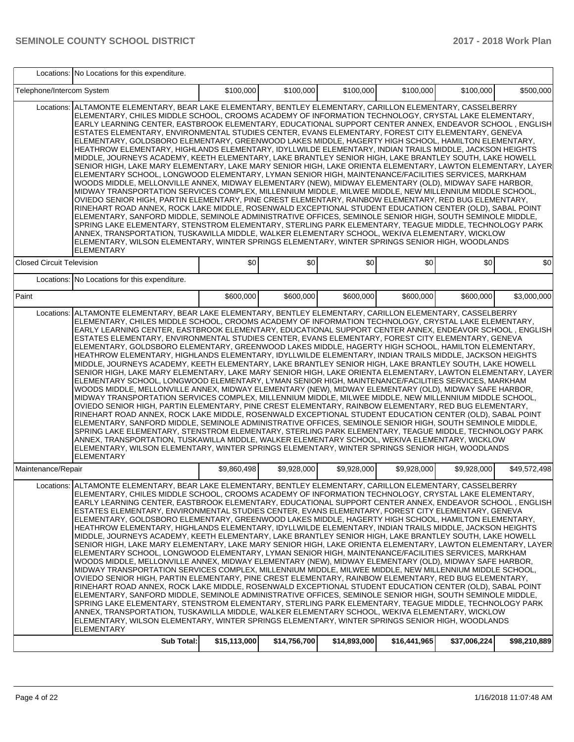|                                  | Locations: No Locations for this expenditure.                                                                                                                                                                                                                                                                                                                                                                                                                                                                                                                                                                                                                                                                                                                                                                                                                                                                                                                                                                                                                                                                                                                                                                                                                                                                                                                                                                                                                                                                                                                                                                                                                                                                                                                                                                                                                           |              |              |              |              |              |              |
|----------------------------------|-------------------------------------------------------------------------------------------------------------------------------------------------------------------------------------------------------------------------------------------------------------------------------------------------------------------------------------------------------------------------------------------------------------------------------------------------------------------------------------------------------------------------------------------------------------------------------------------------------------------------------------------------------------------------------------------------------------------------------------------------------------------------------------------------------------------------------------------------------------------------------------------------------------------------------------------------------------------------------------------------------------------------------------------------------------------------------------------------------------------------------------------------------------------------------------------------------------------------------------------------------------------------------------------------------------------------------------------------------------------------------------------------------------------------------------------------------------------------------------------------------------------------------------------------------------------------------------------------------------------------------------------------------------------------------------------------------------------------------------------------------------------------------------------------------------------------------------------------------------------------|--------------|--------------|--------------|--------------|--------------|--------------|
| Telephone/Intercom System        |                                                                                                                                                                                                                                                                                                                                                                                                                                                                                                                                                                                                                                                                                                                                                                                                                                                                                                                                                                                                                                                                                                                                                                                                                                                                                                                                                                                                                                                                                                                                                                                                                                                                                                                                                                                                                                                                         | \$100,000    | \$100,000    | \$100,000    | \$100,000    | \$100,000    | \$500,000    |
| Locations:                       | ALTAMONTE ELEMENTARY, BEAR LAKE ELEMENTARY, BENTLEY ELEMENTARY, CARILLON ELEMENTARY, CASSELBERRY<br>ELEMENTARY, CHILES MIDDLE SCHOOL, CROOMS ACADEMY OF INFORMATION TECHNOLOGY, CRYSTAL LAKE ELEMENTARY,<br>EARLY LEARNING CENTER, EASTBROOK ELEMENTARY, EDUCATIONAL SUPPORT CENTER ANNEX, ENDEAVOR SCHOOL, ENGLISH<br>ESTATES ELEMENTARY, ENVIRONMENTAL STUDIES CENTER, EVANS ELEMENTARY, FOREST CITY ELEMENTARY, GENEVA<br>ELEMENTARY, GOLDSBORO ELEMENTARY, GREENWOOD LAKES MIDDLE, HAGERTY HIGH SCHOOL, HAMILTON ELEMENTARY,<br>HEATHROW ELEMENTARY, HIGHLANDS ELEMENTARY, IDYLLWILDE ELEMENTARY, INDIAN TRAILS MIDDLE, JACKSON HEIGHTS<br>MIDDLE, JOURNEYS ACADEMY, KEETH ELEMENTARY, LAKE BRANTLEY SENIOR HIGH, LAKE BRANTLEY SOUTH, LAKE HOWELL<br>SENIOR HIGH, LAKE MARY ELEMENTARY, LAKE MARY SENIOR HIGH, LAKE ORIENTA ELEMENTARY, LAWTON ELEMENTARY, LAYER<br>ELEMENTARY SCHOOL, LONGWOOD ELEMENTARY, LYMAN SENIOR HIGH, MAINTENANCE/FACILITIES SERVICES, MARKHAM<br>WOODS MIDDLE, MELLONVILLE ANNEX, MIDWAY ELEMENTARY (NEW), MIDWAY ELEMENTARY (OLD), MIDWAY SAFE HARBOR,<br>MIDWAY TRANSPORTATION SERVICES COMPLEX, MILLENNIUM MIDDLE, MILWEE MIDDLE, NEW MILLENNIUM MIDDLE SCHOOL,<br>OVIEDO SENIOR HIGH, PARTIN ELEMENTARY, PINE CREST ELEMENTARY, RAINBOW ELEMENTARY, RED BUG ELEMENTARY,<br>RINEHART ROAD ANNEX, ROCK LAKE MIDDLE, ROSENWALD EXCEPTIONAL STUDENT EDUCATION CENTER (OLD), SABAL POINT<br>ELEMENTARY, SANFORD MIDDLE, SEMINOLE ADMINISTRATIVE OFFICES, SEMINOLE SENIOR HIGH, SOUTH SEMINOLE MIDDLE,<br>SPRING LAKE ELEMENTARY, STENSTROM ELEMENTARY, STERLING PARK ELEMENTARY, TEAGUE MIDDLE, TECHNOLOGY PARK<br>ANNEX, TRANSPORTATION, TUSKAWILLA MIDDLE, WALKER ELEMENTARY SCHOOL, WEKIVA ELEMENTARY, WICKLOW<br>ELEMENTARY, WILSON ELEMENTARY, WINTER SPRINGS ELEMENTARY, WINTER SPRINGS SENIOR HIGH, WOODLANDS<br><b>ELEMENTARY</b> |              |              |              |              |              |              |
| <b>Closed Circuit Television</b> |                                                                                                                                                                                                                                                                                                                                                                                                                                                                                                                                                                                                                                                                                                                                                                                                                                                                                                                                                                                                                                                                                                                                                                                                                                                                                                                                                                                                                                                                                                                                                                                                                                                                                                                                                                                                                                                                         | \$0          | \$0          | \$0          | \$0          | \$0          | \$0          |
| Locations:                       | No Locations for this expenditure.                                                                                                                                                                                                                                                                                                                                                                                                                                                                                                                                                                                                                                                                                                                                                                                                                                                                                                                                                                                                                                                                                                                                                                                                                                                                                                                                                                                                                                                                                                                                                                                                                                                                                                                                                                                                                                      |              |              |              |              |              |              |
| Paint                            |                                                                                                                                                                                                                                                                                                                                                                                                                                                                                                                                                                                                                                                                                                                                                                                                                                                                                                                                                                                                                                                                                                                                                                                                                                                                                                                                                                                                                                                                                                                                                                                                                                                                                                                                                                                                                                                                         | \$600,000    | \$600,000    | \$600,000    | \$600,000    | \$600,000    | \$3,000,000  |
| Locations:                       | ALTAMONTE ELEMENTARY, BEAR LAKE ELEMENTARY, BENTLEY ELEMENTARY, CARILLON ELEMENTARY, CASSELBERRY<br>ELEMENTARY, CHILES MIDDLE SCHOOL, CROOMS ACADEMY OF INFORMATION TECHNOLOGY, CRYSTAL LAKE ELEMENTARY,<br>EARLY LEARNING CENTER, EASTBROOK ELEMENTARY, EDUCATIONAL SUPPORT CENTER ANNEX, ENDEAVOR SCHOOL, ENGLISH<br>ESTATES ELEMENTARY, ENVIRONMENTAL STUDIES CENTER, EVANS ELEMENTARY, FOREST CITY ELEMENTARY, GENEVA<br>ELEMENTARY, GOLDSBORO ELEMENTARY, GREENWOOD LAKES MIDDLE, HAGERTY HIGH SCHOOL, HAMILTON ELEMENTARY,<br>HEATHROW ELEMENTARY, HIGHLANDS ELEMENTARY, IDYLLWILDE ELEMENTARY, INDIAN TRAILS MIDDLE, JACKSON HEIGHTS<br>MIDDLE, JOURNEYS ACADEMY, KEETH ELEMENTARY, LAKE BRANTLEY SENIOR HIGH, LAKE BRANTLEY SOUTH, LAKE HOWELL<br>SENIOR HIGH, LAKE MARY ELEMENTARY, LAKE MARY SENIOR HIGH, LAKE ORIENTA ELEMENTARY, LAWTON ELEMENTARY, LAYER<br>ELEMENTARY SCHOOL, LONGWOOD ELEMENTARY, LYMAN SENIOR HIGH, MAINTENANCE/FACILITIES SERVICES, MARKHAM<br>WOODS MIDDLE, MELLONVILLE ANNEX, MIDWAY ELEMENTARY (NEW), MIDWAY ELEMENTARY (OLD), MIDWAY SAFE HARBOR,<br>MIDWAY TRANSPORTATION SERVICES COMPLEX, MILLENNIUM MIDDLE, MILWEE MIDDLE, NEW MILLENNIUM MIDDLE SCHOOL,<br>OVIEDO SENIOR HIGH, PARTIN ELEMENTARY, PINE CREST ELEMENTARY, RAINBOW ELEMENTARY, RED BUG ELEMENTARY,<br>RINEHART ROAD ANNEX, ROCK LAKE MIDDLE, ROSENWALD EXCEPTIONAL STUDENT EDUCATION CENTER (OLD), SABAL POINT<br>ELEMENTARY, SANFORD MIDDLE, SEMINOLE ADMINISTRATIVE OFFICES, SEMINOLE SENIOR HIGH, SOUTH SEMINOLE MIDDLE,<br>SPRING LAKE ELEMENTARY, STENSTROM ELEMENTARY, STERLING PARK ELEMENTARY, TEAGUE MIDDLE, TECHNOLOGY PARK<br>ANNEX, TRANSPORTATION, TUSKAWILLA MIDDLE, WALKER ELEMENTARY SCHOOL, WEKIVA ELEMENTARY, WICKLOW<br>ELEMENTARY, WILSON ELEMENTARY, WINTER SPRINGS ELEMENTARY, WINTER SPRINGS SENIOR HIGH, WOODLANDS<br><b>ELEMENTARY</b> |              |              |              |              |              |              |
| Maintenance/Repair               |                                                                                                                                                                                                                                                                                                                                                                                                                                                                                                                                                                                                                                                                                                                                                                                                                                                                                                                                                                                                                                                                                                                                                                                                                                                                                                                                                                                                                                                                                                                                                                                                                                                                                                                                                                                                                                                                         | \$9.860.498  | \$9,928,000  | \$9.928.000  | \$9,928,000  | \$9.928.000  | \$49,572,498 |
|                                  | Locations: ALTAMONTE ELEMENTARY, BEAR LAKE ELEMENTARY, BENTLEY ELEMENTARY, CARILLON ELEMENTARY, CASSELBERRY<br>ELEMENTARY, CHILES MIDDLE SCHOOL, CROOMS ACADEMY OF INFORMATION TECHNOLOGY, CRYSTAL LAKE ELEMENTARY,<br>EARLY LEARNING CENTER, EASTBROOK ELEMENTARY, EDUCATIONAL SUPPORT CENTER ANNEX, ENDEAVOR SCHOOL, ENGLISH<br>ESTATES ELEMENTARY, ENVIRONMENTAL STUDIES CENTER, EVANS ELEMENTARY, FOREST CITY ELEMENTARY, GENEVA<br>ELEMENTARY, GOLDSBORO ELEMENTARY, GREENWOOD LAKES MIDDLE, HAGERTY HIGH SCHOOL, HAMILTON ELEMENTARY,<br>HEATHROW ELEMENTARY, HIGHLANDS ELEMENTARY, IDYLLWILDE ELEMENTARY, INDIAN TRAILS MIDDLE, JACKSON HEIGHTS<br>MIDDLE. JOURNEYS ACADEMY. KEETH ELEMENTARY. LAKE BRANTLEY SENIOR HIGH. LAKE BRANTLEY SOUTH. LAKE HOWELL<br>SENIOR HIGH. LAKE MARY ELEMENTARY. LAKE MARY SENIOR HIGH. LAKE ORIENTA ELEMENTARY. LAWTON ELEMENTARY. LAYER<br>ELEMENTARY SCHOOL, LONGWOOD ELEMENTARY, LYMAN SENIOR HIGH, MAINTENANCE/FACILITIES SERVICES, MARKHAM<br>WOODS MIDDLE. MELLONVILLE ANNEX, MIDWAY ELEMENTARY (NEW), MIDWAY ELEMENTARY (OLD), MIDWAY SAFE HARBOR,<br>MIDWAY TRANSPORTATION SERVICES COMPLEX, MILLENNIUM MIDDLE, MILWEE MIDDLE, NEW MILLENNIUM MIDDLE SCHOOL,<br>OVIEDO SENIOR HIGH, PARTIN ELEMENTARY, PINE CREST ELEMENTARY, RAINBOW ELEMENTARY, RED BUG ELEMENTARY,<br>RINEHART ROAD ANNEX, ROCK LAKE MIDDLE, ROSENWALD EXCEPTIONAL STUDENT EDUCATION CENTER (OLD), SABAL POINT<br>ELEMENTARY, SANFORD MIDDLE, SEMINOLE ADMINISTRATIVE OFFICES, SEMINOLE SENIOR HIGH, SOUTH SEMINOLE MIDDLE,<br>SPRING LAKE ELEMENTARY, STENSTROM ELEMENTARY, STERLING PARK ELEMENTARY, TEAGUE MIDDLE, TECHNOLOGY PARK<br>ANNEX, TRANSPORTATION, TUSKAWILLA MIDDLE, WALKER ELEMENTARY SCHOOL, WEKIVA ELEMENTARY, WICKLOW<br>ELEMENTARY, WILSON ELEMENTARY, WINTER SPRINGS ELEMENTARY, WINTER SPRINGS SENIOR HIGH, WOODLANDS           |              |              |              |              |              |              |
|                                  | ELEMENTARY<br><b>Sub Total:</b>                                                                                                                                                                                                                                                                                                                                                                                                                                                                                                                                                                                                                                                                                                                                                                                                                                                                                                                                                                                                                                                                                                                                                                                                                                                                                                                                                                                                                                                                                                                                                                                                                                                                                                                                                                                                                                         | \$15,113,000 | \$14,756,700 | \$14,893,000 | \$16,441,965 | \$37,006,224 | \$98,210,889 |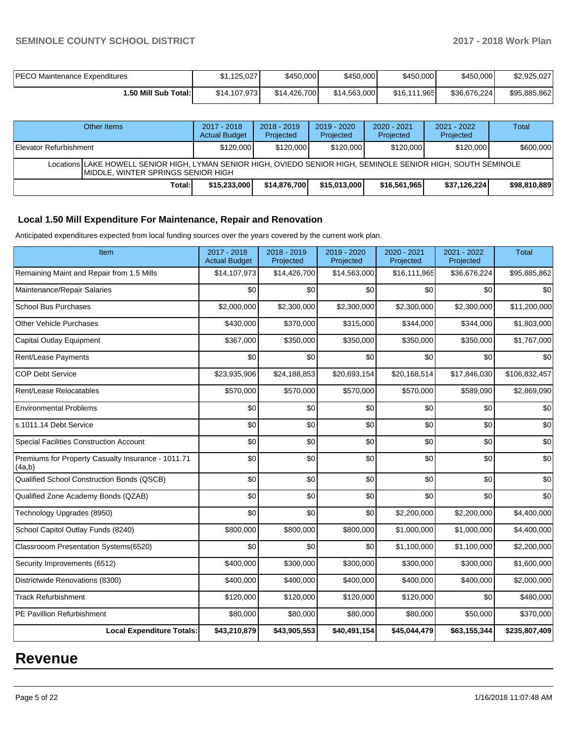| PECO Maintenance Expenditures | \$1.125.027  | \$450,000    | \$450,000    | \$450,000    | \$450,000    | \$2,925,027  |
|-------------------------------|--------------|--------------|--------------|--------------|--------------|--------------|
| 1.50 Mill Sub Total:          | \$14,107,973 | \$14,426,700 | \$14,563,000 | \$16,111,965 | \$36.676.224 | \$95,885,862 |

| Other Items                                                                                                                                          |        | 2017 - 2018<br><b>Actual Budget</b> | $2018 - 2019$<br>Projected | $2019 - 2020$<br>Projected | $2020 - 2021$<br>Projected | $2021 - 2022$<br>Projected | Total        |  |  |
|------------------------------------------------------------------------------------------------------------------------------------------------------|--------|-------------------------------------|----------------------------|----------------------------|----------------------------|----------------------------|--------------|--|--|
| Elevator Refurbishment                                                                                                                               |        | \$120,000                           | \$120,000                  | \$120,000                  | \$120,000                  | \$120,000                  | \$600,000    |  |  |
| Locations LAKE HOWELL SENIOR HIGH, LYMAN SENIOR HIGH, OVIEDO SENIOR HIGH, SEMINOLE SENIOR HIGH, SOUTH SEMINOLE<br>MIDDLE, WINTER SPRINGS SENIOR HIGH |        |                                     |                            |                            |                            |                            |              |  |  |
|                                                                                                                                                      | Total: | \$15,233,000                        | \$14,876,700               | \$15.013.000               | \$16,561,965               | \$37,126,224]              | \$98,810,889 |  |  |

# **Local 1.50 Mill Expenditure For Maintenance, Repair and Renovation**

Anticipated expenditures expected from local funding sources over the years covered by the current work plan.

| Item                                                         | 2017 - 2018<br><b>Actual Budget</b> | 2018 - 2019<br>Projected | 2019 - 2020<br>Projected | 2020 - 2021<br>Projected | 2021 - 2022<br>Projected | <b>Total</b>  |
|--------------------------------------------------------------|-------------------------------------|--------------------------|--------------------------|--------------------------|--------------------------|---------------|
| Remaining Maint and Repair from 1.5 Mills                    | \$14,107,973                        | \$14,426,700             | \$14,563,000             | \$16,111,965             | \$36,676,224             | \$95,885,862  |
| Maintenance/Repair Salaries                                  | \$0                                 | \$0                      | \$0                      | \$0                      | \$0                      | \$0           |
| <b>School Bus Purchases</b>                                  | \$2,000,000                         | \$2,300,000              | \$2,300,000              | \$2,300,000              | \$2,300,000              | \$11,200,000  |
| <b>Other Vehicle Purchases</b>                               | \$430,000                           | \$370,000                | \$315,000                | \$344,000                | \$344,000                | \$1,803,000   |
| Capital Outlay Equipment                                     | \$367,000                           | \$350,000                | \$350,000                | \$350,000                | \$350,000                | \$1,767,000   |
| Rent/Lease Payments                                          | \$0                                 | \$0                      | \$0                      | \$0                      | \$0                      | \$0           |
| <b>COP Debt Service</b>                                      | \$23,935,906                        | \$24,188,853             | \$20,693,154             | \$20,168,514             | \$17,846,030             | \$106,832,457 |
| Rent/Lease Relocatables                                      | \$570,000                           | \$570,000                | \$570,000                | \$570,000                | \$589,090                | \$2,869,090   |
| <b>Environmental Problems</b>                                | \$0                                 | \$0                      | \$0                      | \$0                      | \$0                      | \$0           |
| s.1011.14 Debt Service                                       | \$0                                 | \$0                      | \$0                      | \$0                      | \$0                      | \$0           |
| <b>Special Facilities Construction Account</b>               | \$0                                 | \$0                      | \$0                      | \$0                      | \$0                      | \$0           |
| Premiums for Property Casualty Insurance - 1011.71<br>(4a,b) | \$0                                 | \$0                      | \$0                      | \$0                      | \$0                      | \$0           |
| Qualified School Construction Bonds (QSCB)                   | \$0                                 | \$0                      | \$0                      | \$0                      | \$0                      | \$0           |
| Qualified Zone Academy Bonds (QZAB)                          | \$0                                 | \$0                      | \$0                      | \$0                      | \$0                      | \$0           |
| Technology Upgrades (8950)                                   | \$0                                 | \$0                      | \$0                      | \$2,200,000              | \$2,200,000              | \$4,400,000   |
| School Capitol Outlay Funds (8240)                           | \$800,000                           | \$800,000                | \$800,000                | \$1,000,000              | \$1,000,000              | \$4,400,000   |
| Classrooom Presentation Systems(6520)                        | \$0                                 | \$0                      | \$0                      | \$1,100,000              | \$1,100,000              | \$2,200,000   |
| Security Improvements (6512)                                 | \$400,000                           | \$300,000                | \$300,000                | \$300,000                | \$300,000                | \$1,600,000   |
| Districtwide Renovations (8300)                              | \$400,000                           | \$400,000                | \$400,000                | \$400,000                | \$400,000                | \$2,000,000   |
| <b>Track Refurbishment</b>                                   | \$120,000                           | \$120,000                | \$120,000                | \$120,000                | \$0                      | \$480,000     |
| PE Pavillion Refurbishment                                   | \$80,000                            | \$80,000                 | \$80,000                 | \$80,000                 | \$50,000                 | \$370,000     |
| <b>Local Expenditure Totals:</b>                             | \$43,210,879                        | \$43,905,553             | \$40,491,154             | \$45,044,479             | \$63,155,344             | \$235,807,409 |

# **Revenue**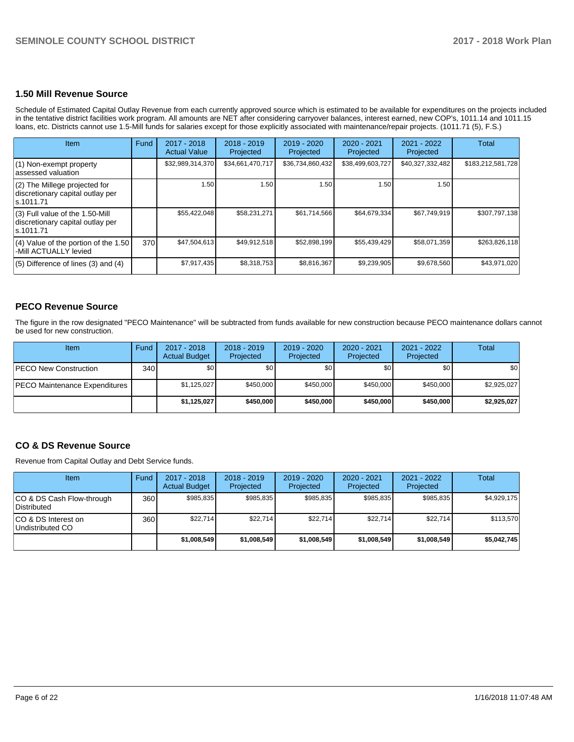### **1.50 Mill Revenue Source**

Schedule of Estimated Capital Outlay Revenue from each currently approved source which is estimated to be available for expenditures on the projects included in the tentative district facilities work program. All amounts are NET after considering carryover balances, interest earned, new COP's, 1011.14 and 1011.15 loans, etc. Districts cannot use 1.5-Mill funds for salaries except for those explicitly associated with maintenance/repair projects. (1011.71 (5), F.S.)

| Item                                                                                | Fund | $2017 - 2018$<br><b>Actual Value</b> | $2018 - 2019$<br>Projected | $2019 - 2020$<br>Projected | $2020 - 2021$<br>Projected | $2021 - 2022$<br>Projected | <b>Total</b>      |
|-------------------------------------------------------------------------------------|------|--------------------------------------|----------------------------|----------------------------|----------------------------|----------------------------|-------------------|
| (1) Non-exempt property<br>lassessed valuation                                      |      | \$32,989,314,370                     | \$34,661,470,717           | \$36,734,860,432           | \$38,499,603,727           | \$40,327,332,482           | \$183,212,581,728 |
| $(2)$ The Millege projected for<br>discretionary capital outlay per<br>ls.1011.71   |      | 1.50                                 | 1.50                       | 1.50                       | 1.50                       | 1.50                       |                   |
| $(3)$ Full value of the 1.50-Mill<br>discretionary capital outlay per<br>ls.1011.71 |      | \$55,422,048                         | \$58,231,271               | \$61,714,566               | \$64,679,334               | \$67,749,919               | \$307,797,138     |
| $(4)$ Value of the portion of the 1.50<br>-Mill ACTUALLY levied                     | 370  | \$47,504,613                         | \$49,912,518               | \$52,898,199               | \$55,439,429               | \$58,071,359               | \$263,826,118     |
| $(5)$ Difference of lines $(3)$ and $(4)$                                           |      | \$7,917,435                          | \$8,318,753                | \$8,816,367                | \$9,239,905                | \$9,678,560                | \$43,971,020      |

# **PECO Revenue Source**

The figure in the row designated "PECO Maintenance" will be subtracted from funds available for new construction because PECO maintenance dollars cannot be used for new construction.

| <b>Item</b>                          | Fund         | 2017 - 2018<br><b>Actual Budget</b> | $2018 - 2019$<br>Projected | 2019 - 2020<br>Projected | $2020 - 2021$<br>Projected | $2021 - 2022$<br>Projected | <b>Total</b>     |
|--------------------------------------|--------------|-------------------------------------|----------------------------|--------------------------|----------------------------|----------------------------|------------------|
| <b>IPECO New Construction</b>        | 340 <b>I</b> | \$0                                 | \$0                        | \$0                      | \$0 <sub>1</sub>           | \$0                        | \$0 <sub>1</sub> |
| <b>PECO Maintenance Expenditures</b> |              | \$1,125,027                         | \$450,000                  | \$450,000                | \$450,000                  | \$450,000                  | \$2,925,027      |
|                                      |              | \$1,125,027                         | \$450,000                  | \$450,000                | \$450,000                  | \$450,000                  | \$2,925,027      |

# **CO & DS Revenue Source**

Revenue from Capital Outlay and Debt Service funds.

| Item                                      | Fund | $2017 - 2018$<br><b>Actual Budget</b> | $2018 - 2019$<br>Projected | 2019 - 2020<br>Projected | $2020 - 2021$<br>Projected | 2021 - 2022<br>Projected | Total       |
|-------------------------------------------|------|---------------------------------------|----------------------------|--------------------------|----------------------------|--------------------------|-------------|
| ICO & DS Cash Flow-through<br>Distributed | 360  | \$985.835                             | \$985.835                  | \$985.835                | \$985.835                  | \$985.835                | \$4,929,175 |
| ICO & DS Interest on<br>Undistributed CO  | 360  | \$22.714                              | \$22.714                   | \$22.714                 | \$22,714                   | \$22.714                 | \$113,570   |
|                                           |      | \$1,008,549                           | \$1,008,549                | \$1,008,549              | \$1,008,549                | \$1,008,549              | \$5,042,745 |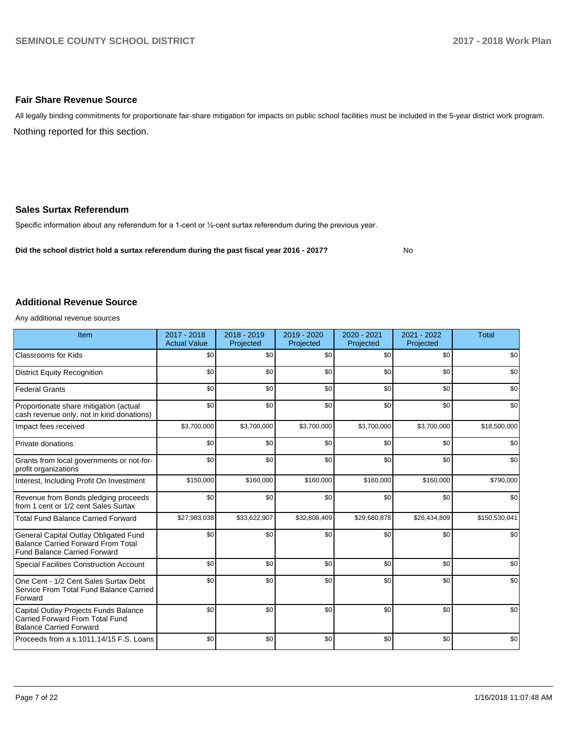## **Fair Share Revenue Source**

Nothing reported for this section. All legally binding commitments for proportionate fair-share mitigation for impacts on public school facilities must be included in the 5-year district work program.

### **Sales Surtax Referendum**

Specific information about any referendum for a 1-cent or 1/2-cent surtax referendum during the previous year.

**Did the school district hold a surtax referendum during the past fiscal year 2016 - 2017?**

No

## **Additional Revenue Source**

Any additional revenue sources

| Item                                                                                                                      | 2017 - 2018<br><b>Actual Value</b> | 2018 - 2019<br>Projected | 2019 - 2020<br>Projected | 2020 - 2021<br>Projected | 2021 - 2022<br>Projected | <b>Total</b>  |
|---------------------------------------------------------------------------------------------------------------------------|------------------------------------|--------------------------|--------------------------|--------------------------|--------------------------|---------------|
| <b>Classrooms for Kids</b>                                                                                                | \$0                                | \$0                      | \$0                      | \$0                      | \$0                      | \$0           |
| <b>District Equity Recognition</b>                                                                                        | \$0                                | \$0                      | \$0                      | \$0                      | \$0                      | \$0           |
| <b>Federal Grants</b>                                                                                                     | \$0                                | \$0                      | \$0                      | \$0                      | \$0                      | \$0           |
| Proportionate share mitigation (actual<br>cash revenue only, not in kind donations)                                       | \$0                                | \$0                      | \$0                      | \$0                      | \$0                      | \$0           |
| Impact fees received                                                                                                      | \$3,700,000                        | \$3,700,000              | \$3,700,000              | \$3,700,000              | \$3,700,000              | \$18,500,000  |
| <b>Private donations</b>                                                                                                  | \$0                                | \$0                      | \$0                      | \$0                      | \$0                      | \$0           |
| Grants from local governments or not-for-<br>profit organizations                                                         | \$0                                | \$0                      | \$0                      | \$0                      | \$0                      | \$0           |
| Interest, Including Profit On Investment                                                                                  | \$150,000                          | \$160,000                | \$160,000                | \$160,000                | \$160,000                | \$790,000     |
| Revenue from Bonds pledging proceeds<br>from 1 cent or 1/2 cent Sales Surtax                                              | \$0                                | \$0                      | \$0                      | \$0                      | \$0                      | \$0           |
| <b>Total Fund Balance Carried Forward</b>                                                                                 | \$27,983,038                       | \$33,622,907             | \$32,808,409             | \$29,680,878             | \$26,434,809             | \$150,530,041 |
| General Capital Outlay Obligated Fund<br><b>Balance Carried Forward From Total</b><br><b>Fund Balance Carried Forward</b> | \$0                                | \$0                      | \$0                      | \$0                      | \$0                      | \$0           |
| <b>Special Facilities Construction Account</b>                                                                            | \$0                                | \$0                      | \$0                      | \$0                      | \$0                      | \$0           |
| One Cent - 1/2 Cent Sales Surtax Debt<br>Service From Total Fund Balance Carried<br>Forward                               | \$0                                | \$0                      | \$0                      | \$0                      | \$0                      | \$0           |
| Capital Outlay Projects Funds Balance<br>Carried Forward From Total Fund<br><b>Balance Carried Forward</b>                | \$0                                | \$0                      | \$0                      | \$0                      | \$0                      | \$0           |
| Proceeds from a s.1011.14/15 F.S. Loans                                                                                   | \$0                                | \$0                      | \$0                      | \$0                      | \$0                      | \$0           |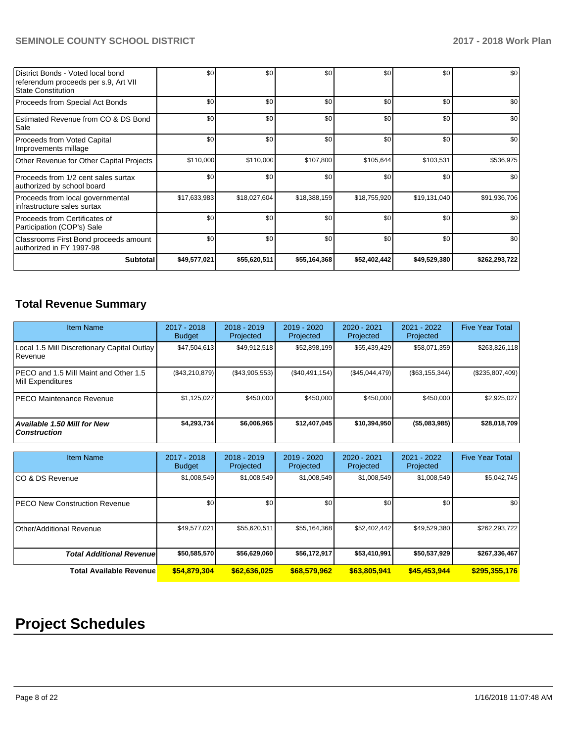| District Bonds - Voted local bond<br>referendum proceeds per s.9, Art VII<br><b>State Constitution</b> | \$0          | \$0          | \$0          | \$0          | \$0          | \$0           |
|--------------------------------------------------------------------------------------------------------|--------------|--------------|--------------|--------------|--------------|---------------|
| Proceeds from Special Act Bonds                                                                        | \$0          | \$0          | \$0          | \$0          | \$0          | \$0           |
| Estimated Revenue from CO & DS Bond<br>Sale                                                            | \$0          | \$0          | \$0          | \$0          | \$0          | \$0           |
| Proceeds from Voted Capital<br>Improvements millage                                                    | \$0          | \$0          | \$0          | \$0          | \$0          | \$0           |
| Other Revenue for Other Capital Projects                                                               | \$110,000    | \$110,000    | \$107,800    | \$105,644    | \$103,531    | \$536,975     |
| Proceeds from 1/2 cent sales surtax<br>authorized by school board                                      | \$0          | \$0          | \$0          | \$0          | \$0          | \$0           |
| Proceeds from local governmental<br>infrastructure sales surtax                                        | \$17,633,983 | \$18,027,604 | \$18,388,159 | \$18,755,920 | \$19,131,040 | \$91,936,706  |
| Proceeds from Certificates of<br>Participation (COP's) Sale                                            | \$0          | \$0          | \$0          | \$0          | \$0          | \$0           |
| Classrooms First Bond proceeds amount<br>authorized in FY 1997-98                                      | \$0          | \$0          | \$0          | \$0          | \$0          | \$0           |
| <b>Subtotal</b>                                                                                        | \$49,577,021 | \$55,620,511 | \$55,164,368 | \$52,402,442 | \$49,529,380 | \$262,293,722 |

# **Total Revenue Summary**

| <b>Item Name</b>                                              | 2017 - 2018<br><b>Budget</b> | $2018 - 2019$<br>Projected | $2019 - 2020$<br>Projected | $2020 - 2021$<br>Projected | 2021 - 2022<br>Projected | <b>Five Year Total</b> |
|---------------------------------------------------------------|------------------------------|----------------------------|----------------------------|----------------------------|--------------------------|------------------------|
| Local 1.5 Mill Discretionary Capital Outlay<br><b>Revenue</b> | \$47,504,613                 | \$49,912,518               | \$52,898,199               | \$55,439,429               | \$58,071,359             | \$263,826,118          |
| PECO and 1.5 Mill Maint and Other 1.5<br>Mill Expenditures    | (S43, 210, 879)              | (\$43,905,553)             | (\$40,491,154)             | (S45, 044, 479)            | ( \$63, 155, 344)        | $(\$235,807,409)$      |
| IPECO Maintenance Revenue                                     | \$1,125,027                  | \$450,000                  | \$450,000                  | \$450,000                  | \$450,000                | \$2,925,027            |
| <b>Available 1.50 Mill for New</b><br>  Construction          | \$4,293,734                  | \$6,006,965                | \$12,407,045               | \$10,394,950               | (\$5,083,985)            | \$28,018,709           |

| <b>Item Name</b>                      | 2017 - 2018<br><b>Budget</b> | $2018 - 2019$<br>Projected | 2019 - 2020<br>Projected | 2020 - 2021<br>Projected | 2021 - 2022<br>Projected | <b>Five Year Total</b> |
|---------------------------------------|------------------------------|----------------------------|--------------------------|--------------------------|--------------------------|------------------------|
| ICO & DS Revenue                      | \$1,008,549                  | \$1,008,549                | \$1,008,549              | \$1,008,549              | \$1,008,549              | \$5,042,745            |
| <b>IPECO New Construction Revenue</b> | \$0                          | \$0 <sub>1</sub>           | \$0                      | \$0                      | \$0                      | \$0                    |
| Other/Additional Revenue              | \$49,577,021                 | \$55,620,511               | \$55,164,368             | \$52,402,442             | \$49,529,380             | \$262,293,722          |
| <b>Total Additional Revenuel</b>      | \$50,585,570                 | \$56,629,060               | \$56,172,917             | \$53,410,991             | \$50,537,929             | \$267,336,467          |
| <b>Total Available Revenue</b>        | \$54,879,304                 | \$62,636,025               | \$68,579,962             | \$63,805,941             | \$45,453,944             | \$295,355,176          |

# **Project Schedules**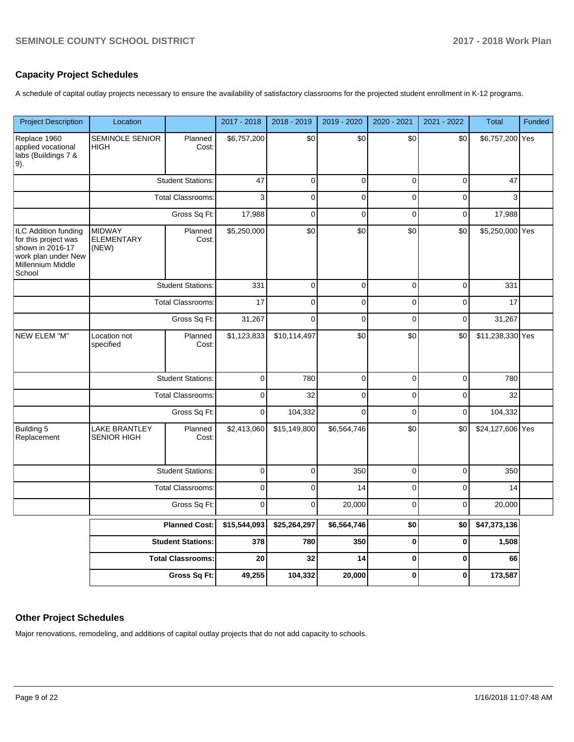# **Capacity Project Schedules**

A schedule of capital outlay projects necessary to ensure the availability of satisfactory classrooms for the projected student enrollment in K-12 programs.

| <b>Project Description</b>                                                                                                    | Location                                    |                          | 2017 - 2018  | 2018 - 2019     | 2019 - 2020  | 2020 - 2021     | 2021 - 2022 | <b>Total</b>     | Funded |
|-------------------------------------------------------------------------------------------------------------------------------|---------------------------------------------|--------------------------|--------------|-----------------|--------------|-----------------|-------------|------------------|--------|
| Replace 1960<br>applied vocational<br>labs (Buildings 7 &<br>9).                                                              | SEMINOLE SENIOR<br><b>HIGH</b>              | Planned<br>Cost:         | \$6,757,200  | $\overline{30}$ | \$0          | $\overline{30}$ | \$0         | \$6,757,200 Yes  |        |
|                                                                                                                               |                                             | <b>Student Stations:</b> | 47           | $\mathbf 0$     | $\pmb{0}$    | $\mathbf 0$     | $\mathbf 0$ | 47               |        |
|                                                                                                                               |                                             | <b>Total Classrooms:</b> | 3            | $\mathbf 0$     | $\pmb{0}$    | 0               | 0           | 3                |        |
|                                                                                                                               |                                             | Gross Sq Ft:             | 17,988       | $\mathbf{0}$    | $\mathbf{0}$ | $\overline{0}$  | $\pmb{0}$   | 17,988           |        |
| <b>ILC Addition funding</b><br>for this project was<br>shown in 2016-17<br>work plan under New<br>Millennium Middle<br>School | <b>MIDWAY</b><br><b>ELEMENTARY</b><br>(NEW) | Planned<br>Cost:         | \$5,250,000  | \$0             | \$0          | \$0             | \$0         | \$5,250,000 Yes  |        |
|                                                                                                                               |                                             | <b>Student Stations:</b> | 331          | $\mathbf 0$     | $\pmb{0}$    | $\mathbf 0$     | $\mathbf 0$ | 331              |        |
|                                                                                                                               |                                             | <b>Total Classrooms:</b> | 17           | $\Omega$        | $\mathbf 0$  | $\mathbf 0$     | $\mathbf 0$ | 17               |        |
|                                                                                                                               | Gross Sq Ft:                                |                          | 31,267       | $\mathbf 0$     | $\pmb{0}$    | $\mathbf 0$     | $\mathbf 0$ | 31,267           |        |
| NEW ELEM "M"                                                                                                                  | Location not<br>specified                   | Planned<br>Cost:         | \$1,123,833  | \$10,114,497    | \$0          | \$0             | \$0         | \$11,238,330 Yes |        |
|                                                                                                                               |                                             | <b>Student Stations:</b> | $\mathbf 0$  | 780             | $\mathbf 0$  | $\mathbf 0$     | $\mathbf 0$ | 780              |        |
|                                                                                                                               |                                             | <b>Total Classrooms:</b> | $\pmb{0}$    | 32              | $\pmb{0}$    | 0               | 0           | 32               |        |
|                                                                                                                               |                                             | Gross Sq Ft:             | $\pmb{0}$    | 104,332         | $\mathbf 0$  | $\mathbf 0$     | $\mathbf 0$ | 104,332          |        |
| Building 5<br>Replacement                                                                                                     | <b>LAKE BRANTLEY</b><br><b>SENIOR HIGH</b>  | Planned<br>Cost:         | \$2,413,060  | \$15,149,800    | \$6,564,746  | \$0             | \$0         | \$24,127,606 Yes |        |
|                                                                                                                               |                                             | <b>Student Stations:</b> | $\pmb{0}$    | $\pmb{0}$       | 350          | $\mathbf 0$     | $\mathbf 0$ | 350              |        |
|                                                                                                                               |                                             | <b>Total Classrooms:</b> | $\pmb{0}$    | $\mathbf 0$     | 14           | $\mathbf 0$     | $\mathbf 0$ | 14               |        |
|                                                                                                                               |                                             | Gross Sq Ft:             | $\mathbf 0$  | $\mathbf 0$     | 20,000       | 0               | $\mathbf 0$ | 20,000           |        |
|                                                                                                                               |                                             | <b>Planned Cost:</b>     | \$15,544,093 | \$25,264,297    | \$6,564,746  | \$0             | \$0         | \$47,373,136     |        |
|                                                                                                                               |                                             | <b>Student Stations:</b> | 378          | 780             | 350          | $\mathbf 0$     | $\mathbf 0$ | 1,508            |        |
|                                                                                                                               |                                             | <b>Total Classrooms:</b> | 20           | 32              | 14           | $\bf{0}$        | $\pmb{0}$   | 66               |        |
|                                                                                                                               |                                             | Gross Sq Ft:             | 49,255       | 104,332         | 20,000       | $\mathbf 0$     | $\mathbf 0$ | 173,587          |        |

# **Other Project Schedules**

Major renovations, remodeling, and additions of capital outlay projects that do not add capacity to schools.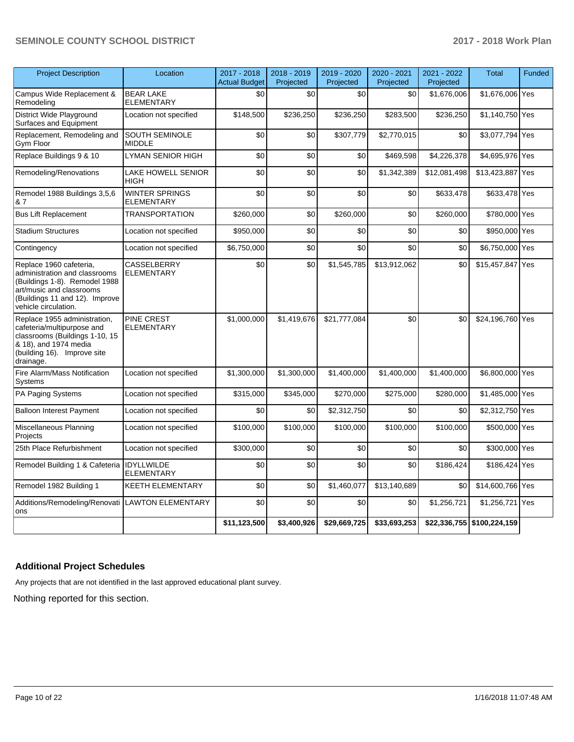| <b>Project Description</b>                                                                                                                                                      | Location                                   | 2017 - 2018<br><b>Actual Budget</b> | 2018 - 2019<br>Projected | 2019 - 2020<br>Projected | 2020 - 2021<br>Projected | 2021 - 2022<br>Projected | <b>Total</b>               | Funded |
|---------------------------------------------------------------------------------------------------------------------------------------------------------------------------------|--------------------------------------------|-------------------------------------|--------------------------|--------------------------|--------------------------|--------------------------|----------------------------|--------|
| Campus Wide Replacement &<br>Remodeling                                                                                                                                         | <b>BEAR LAKE</b><br><b>ELEMENTARY</b>      | \$0                                 | \$0                      | \$0                      | \$0                      | \$1,676,006              | \$1,676,006 Yes            |        |
| District Wide Playground<br>Surfaces and Equipment                                                                                                                              | Location not specified                     | \$148,500                           | \$236,250                | \$236,250                | \$283,500                | \$236,250                | \$1,140,750 Yes            |        |
| Replacement, Remodeling and<br>Gym Floor                                                                                                                                        | <b>SOUTH SEMINOLE</b><br><b>MIDDLE</b>     | \$0                                 | \$0                      | \$307,779                | \$2,770,015              | \$0                      | \$3,077,794 Yes            |        |
| Replace Buildings 9 & 10                                                                                                                                                        | LYMAN SENIOR HIGH                          | \$0                                 | \$0                      | \$0                      | \$469,598                | \$4,226,378              | \$4,695,976 Yes            |        |
| Remodeling/Renovations                                                                                                                                                          | LAKE HOWELL SENIOR<br><b>HIGH</b>          | \$0                                 | \$0                      | \$0                      | \$1,342,389              | \$12,081,498             | \$13,423,887 Yes           |        |
| Remodel 1988 Buildings 3,5,6<br>& 7                                                                                                                                             | <b>WINTER SPRINGS</b><br><b>ELEMENTARY</b> | \$0                                 | \$0                      | \$0                      | \$0                      | \$633,478                | \$633,478 Yes              |        |
| Bus Lift Replacement                                                                                                                                                            | <b>TRANSPORTATION</b>                      | \$260,000                           | \$0                      | \$260,000                | \$0                      | \$260,000                | \$780,000 Yes              |        |
| <b>Stadium Structures</b>                                                                                                                                                       | Location not specified                     | \$950,000                           | \$0                      | \$0                      | \$0                      | \$0                      | \$950,000 Yes              |        |
| Contingency                                                                                                                                                                     | Location not specified                     | \$6,750,000                         | \$0                      | \$0                      | \$0                      | \$0                      | \$6,750,000 Yes            |        |
| Replace 1960 cafeteria,<br>administration and classrooms<br>(Buildings 1-8). Remodel 1988<br>art/music and classrooms<br>(Buildings 11 and 12). Improve<br>vehicle circulation. | <b>CASSELBERRY</b><br><b>ELEMENTARY</b>    | \$0                                 | \$0                      | \$1,545,785              | \$13,912,062             | \$0                      | \$15,457,847 Yes           |        |
| Replace 1955 administration,<br>cafeteria/multipurpose and<br>classrooms (Buildings 1-10, 15<br>& 18), and 1974 media<br>(building 16). Improve site<br>drainage.               | PINE CREST<br><b>ELEMENTARY</b>            | \$1,000,000                         | \$1,419,676              | \$21,777,084             | \$0                      | \$0                      | \$24,196,760 Yes           |        |
| Fire Alarm/Mass Notification<br>Systems                                                                                                                                         | Location not specified                     | \$1,300,000                         | \$1,300,000              | \$1,400,000              | \$1,400,000              | \$1,400,000              | \$6,800,000 Yes            |        |
| PA Paging Systems                                                                                                                                                               | Location not specified                     | \$315,000                           | \$345,000                | \$270,000                | \$275,000                | \$280,000                | \$1,485,000 Yes            |        |
| <b>Balloon Interest Payment</b>                                                                                                                                                 | Location not specified                     | \$0                                 | \$0                      | \$2,312,750              | \$0                      | \$0                      | \$2,312,750 Yes            |        |
| Miscellaneous Planning<br>Projects                                                                                                                                              | Location not specified                     | \$100,000                           | \$100,000                | \$100,000                | \$100,000                | \$100,000                | \$500,000 Yes              |        |
| 25th Place Refurbishment                                                                                                                                                        | Location not specified                     | \$300,000                           | \$0                      | \$0                      | \$0                      | \$0                      | \$300,000 Yes              |        |
| Remodel Building 1 & Cafeteria IDYLLWILDE                                                                                                                                       | <b>ELEMENTARY</b>                          | \$0                                 | \$0                      | \$0                      | \$0                      | \$186.424                | \$186,424 Yes              |        |
| Remodel 1982 Building 1                                                                                                                                                         | KEETH ELEMENTARY                           | \$0                                 | \$0                      | \$1,460,077              | \$13,140,689             | \$0                      | \$14,600,766 Yes           |        |
| Additions/Remodeling/Renovati LAWTON ELEMENTARY<br>ons                                                                                                                          |                                            | \$0                                 | \$0                      | \$0                      | \$0                      | \$1,256,721              | \$1,256,721 Yes            |        |
|                                                                                                                                                                                 |                                            | \$11,123,500                        | \$3,400,926              | \$29,669,725             | \$33,693,253             |                          | \$22,336,755 \$100,224,159 |        |

# **Additional Project Schedules**

Any projects that are not identified in the last approved educational plant survey.

Nothing reported for this section.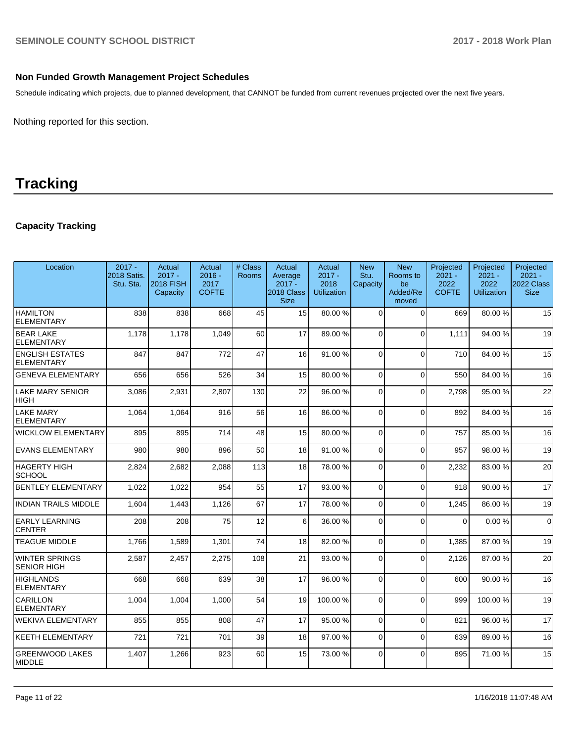# **Non Funded Growth Management Project Schedules**

Schedule indicating which projects, due to planned development, that CANNOT be funded from current revenues projected over the next five years.

Nothing reported for this section.

# **Tracking**

# **Capacity Tracking**

| Location                                    | $2017 -$<br>2018 Satis.<br>Stu. Sta. | Actual<br>$2017 -$<br><b>2018 FISH</b><br>Capacity | Actual<br>$2016 -$<br>2017<br><b>COFTE</b> | # Class<br><b>Rooms</b> | Actual<br>Average<br>$2017 -$<br>2018 Class<br><b>Size</b> | Actual<br>$2017 -$<br>2018<br><b>Utilization</b> | <b>New</b><br>Stu.<br>Capacity | <b>New</b><br>Rooms to<br>be<br>Added/Re<br>moved | Projected<br>$2021 -$<br>2022<br><b>COFTE</b> | Projected<br>$2021 -$<br>2022<br><b>Utilization</b> | Projected<br>$2021 -$<br><b>2022 Class</b><br><b>Size</b> |
|---------------------------------------------|--------------------------------------|----------------------------------------------------|--------------------------------------------|-------------------------|------------------------------------------------------------|--------------------------------------------------|--------------------------------|---------------------------------------------------|-----------------------------------------------|-----------------------------------------------------|-----------------------------------------------------------|
| <b>HAMILTON</b><br><b>ELEMENTARY</b>        | 838                                  | 838                                                | 668                                        | 45                      | 15                                                         | 80.00%                                           | $\Omega$                       | $\Omega$                                          | 669                                           | 80.00%                                              | 15                                                        |
| <b>BEAR LAKE</b><br><b>ELEMENTARY</b>       | 1,178                                | 1,178                                              | 1.049                                      | 60                      | 17                                                         | 89.00 %                                          | $\Omega$                       | $\Omega$                                          | 1.111                                         | 94.00%                                              | 19                                                        |
| <b>ENGLISH ESTATES</b><br><b>ELEMENTARY</b> | 847                                  | 847                                                | 772                                        | 47                      | 16                                                         | 91.00 %                                          | $\Omega$                       | $\Omega$                                          | 710                                           | 84.00 %                                             | 15                                                        |
| <b>GENEVA ELEMENTARY</b>                    | 656                                  | 656                                                | 526                                        | 34                      | 15                                                         | 80.00%                                           | $\Omega$                       | $\mathbf{0}$                                      | 550                                           | 84.00 %                                             | 16                                                        |
| <b>LAKE MARY SENIOR</b><br><b>HIGH</b>      | 3,086                                | 2,931                                              | 2,807                                      | 130                     | 22                                                         | 96.00 %                                          | $\Omega$                       | $\mathbf 0$                                       | 2,798                                         | 95.00 %                                             | 22                                                        |
| <b>LAKE MARY</b><br><b>ELEMENTARY</b>       | 1,064                                | 1,064                                              | 916                                        | 56                      | 16                                                         | 86.00 %                                          | $\Omega$                       | $\Omega$                                          | 892                                           | 84.00%                                              | 16                                                        |
| <b>WICKLOW ELEMENTARY</b>                   | 895                                  | 895                                                | 714                                        | 48                      | 15                                                         | 80.00%                                           | $\Omega$                       | $\mathbf 0$                                       | 757                                           | 85.00 %                                             | 16                                                        |
| <b>EVANS ELEMENTARY</b>                     | 980                                  | 980                                                | 896                                        | 50                      | 18                                                         | 91.00%                                           | $\Omega$                       | $\mathbf{0}$                                      | 957                                           | 98.00 %                                             | 19                                                        |
| HAGERTY HIGH<br><b>SCHOOL</b>               | 2,824                                | 2,682                                              | 2,088                                      | 113                     | 18                                                         | 78.00 %                                          | $\Omega$                       | $\Omega$                                          | 2,232                                         | 83.00 %                                             | 20                                                        |
| <b>BENTLEY ELEMENTARY</b>                   | 1,022                                | 1,022                                              | 954                                        | 55                      | 17                                                         | 93.00 %                                          | $\Omega$                       | $\Omega$                                          | 918                                           | 90.00 %                                             | 17                                                        |
| <b>INDIAN TRAILS MIDDLE</b>                 | 1,604                                | 1,443                                              | 1,126                                      | 67                      | 17                                                         | 78.00 %                                          | $\Omega$                       | $\Omega$                                          | 1.245                                         | 86.00 %                                             | 19                                                        |
| <b>EARLY LEARNING</b><br><b>CENTER</b>      | 208                                  | 208                                                | 75                                         | 12                      | 6                                                          | 36.00 %                                          | $\Omega$                       | $\Omega$                                          | $\Omega$                                      | 0.00%                                               | $\overline{0}$                                            |
| <b>TEAGUE MIDDLE</b>                        | 1,766                                | 1,589                                              | 1,301                                      | 74                      | 18                                                         | 82.00 %                                          | $\Omega$                       | $\Omega$                                          | 1,385                                         | 87.00 %                                             | 19                                                        |
| WINTER SPRINGS<br><b>SENIOR HIGH</b>        | 2,587                                | 2,457                                              | 2,275                                      | 108                     | 21                                                         | 93.00 %                                          | 0                              | $\Omega$                                          | 2,126                                         | 87.00 %                                             | 20                                                        |
| <b>HIGHLANDS</b><br><b>ELEMENTARY</b>       | 668                                  | 668                                                | 639                                        | 38                      | 17                                                         | 96.00 %                                          | $\Omega$                       | $\mathbf{0}$                                      | 600                                           | 90.00 %                                             | 16                                                        |
| CARILLON<br><b>ELEMENTARY</b>               | 1,004                                | 1,004                                              | 1.000                                      | 54                      | 19                                                         | 100.00%                                          | $\Omega$                       | $\overline{0}$                                    | 999                                           | 100.00%                                             | 19                                                        |
| WEKIVA ELEMENTARY                           | 855                                  | 855                                                | 808                                        | 47                      | 17                                                         | 95.00 %                                          | $\Omega$                       | $\Omega$                                          | 821                                           | 96.00 %                                             | 17                                                        |
| <b>KEETH ELEMENTARY</b>                     | 721                                  | 721                                                | 701                                        | 39                      | 18                                                         | 97.00 %                                          | $\Omega$                       | $\Omega$                                          | 639                                           | 89.00 %                                             | 16                                                        |
| <b>GREENWOOD LAKES</b><br><b>MIDDLE</b>     | 1,407                                | 1,266                                              | 923                                        | 60                      | 15                                                         | 73.00 %                                          | $\Omega$                       | $\Omega$                                          | 895                                           | 71.00 %                                             | 15                                                        |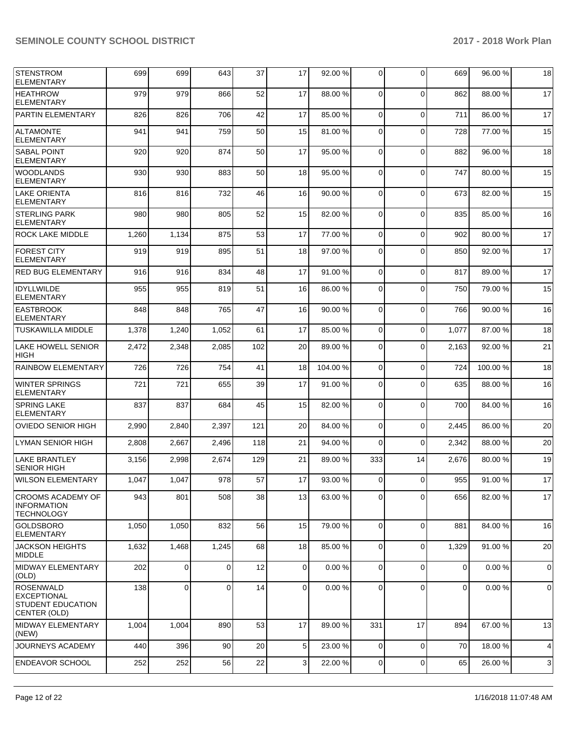| <b>STENSTROM</b><br><b>ELEMENTARY</b>                                       | 699   | 699   | 643         | 37  | 17             | 92.00 % | 0              | $\Omega$    | 669         | 96.00 % | 18          |
|-----------------------------------------------------------------------------|-------|-------|-------------|-----|----------------|---------|----------------|-------------|-------------|---------|-------------|
| <b>HEATHROW</b><br><b>ELEMENTARY</b>                                        | 979   | 979   | 866         | 52  | 17             | 88.00 % | 0              | $\Omega$    | 862         | 88.00 % | 17          |
| <b>PARTIN ELEMENTARY</b>                                                    | 826   | 826   | 706         | 42  | 17             | 85.00 % | $\mathbf 0$    | $\Omega$    | 711         | 86.00 % | 17          |
| <b>ALTAMONTE</b><br><b>ELEMENTARY</b>                                       | 941   | 941   | 759         | 50  | 15             | 81.00%  | 0              | $\mathbf 0$ | 728         | 77.00 % | 15          |
| <b>SABAL POINT</b><br><b>ELEMENTARY</b>                                     | 920   | 920   | 874         | 50  | 17             | 95.00 % | 0              | $\Omega$    | 882         | 96.00 % | 18          |
| <b>WOODLANDS</b><br><b>ELEMENTARY</b>                                       | 930   | 930   | 883         | 50  | 18             | 95.00 % | $\mathbf 0$    | $\Omega$    | 747         | 80.00 % | 15          |
| <b>LAKE ORIENTA</b><br><b>ELEMENTARY</b>                                    | 816   | 816   | 732         | 46  | 16             | 90.00 % | 0              | $\mathbf 0$ | 673         | 82.00 % | 15          |
| <b>STERLING PARK</b><br><b>ELEMENTARY</b>                                   | 980   | 980   | 805         | 52  | 15             | 82.00 % | $\Omega$       | $\Omega$    | 835         | 85.00 % | 16          |
| <b>ROCK LAKE MIDDLE</b>                                                     | 1,260 | 1,134 | 875         | 53  | 17             | 77.00 % | $\mathbf 0$    | 0           | 902         | 80.00%  | 17          |
| <b>FOREST CITY</b><br><b>ELEMENTARY</b>                                     | 919   | 919   | 895         | 51  | 18             | 97.00 % | $\mathbf 0$    | $\Omega$    | 850         | 92.00 % | 17          |
| <b>RED BUG ELEMENTARY</b>                                                   | 916   | 916   | 834         | 48  | 17             | 91.00%  | $\mathbf 0$    | $\Omega$    | 817         | 89.00 % | 17          |
| <b>IDYLLWILDE</b><br><b>ELEMENTARY</b>                                      | 955   | 955   | 819         | 51  | 16             | 86.00 % | 0              | $\mathbf 0$ | 750         | 79.00 % | 15          |
| <b>EASTBROOK</b><br><b>ELEMENTARY</b>                                       | 848   | 848   | 765         | 47  | 16             | 90.00 % | $\mathbf 0$    | $\Omega$    | 766         | 90.00 % | 16          |
| <b>TUSKAWILLA MIDDLE</b>                                                    | 1,378 | 1,240 | 1,052       | 61  | 17             | 85.00 % | $\mathbf 0$    | $\mathbf 0$ | 1,077       | 87.00 % | 18          |
| <b>LAKE HOWELL SENIOR</b><br><b>HIGH</b>                                    | 2,472 | 2,348 | 2,085       | 102 | 20             | 89.00 % | $\mathbf 0$    | $\Omega$    | 2,163       | 92.00 % | 21          |
| <b>RAINBOW ELEMENTARY</b>                                                   | 726   | 726   | 754         | 41  | 18             | 104.00% | $\mathbf 0$    | $\mathbf 0$ | 724         | 100.00% | 18          |
| <b>WINTER SPRINGS</b><br><b>ELEMENTARY</b>                                  | 721   | 721   | 655         | 39  | 17             | 91.00 % | 0              | $\mathbf 0$ | 635         | 88.00 % | 16          |
| <b>SPRING LAKE</b><br><b>ELEMENTARY</b>                                     | 837   | 837   | 684         | 45  | 15             | 82.00 % | 0              | $\Omega$    | 700         | 84.00 % | 16          |
| <b>OVIEDO SENIOR HIGH</b>                                                   | 2,990 | 2,840 | 2,397       | 121 | 20             | 84.00 % | $\mathbf 0$    | $\mathbf 0$ | 2,445       | 86.00 % | 20          |
| ILYMAN SENIOR HIGH                                                          | 2,808 | 2,667 | 2,496       | 118 | 21             | 94.00 % | 0              | $\Omega$    | 2,342       | 88.00 % | 20          |
| <b>LAKE BRANTLEY</b><br><b>SENIOR HIGH</b>                                  | 3,156 | 2,998 | 2,674       | 129 | 21             | 89.00 % | 333            | 14          | 2,676       | 80.00 % | 19          |
| <b>WILSON ELEMENTARY</b>                                                    | 1,047 | 1,047 | 978         | 57  | 17             | 93.00 % | 0              | $\Omega$    | 955         | 91.00 % | 17          |
| <b>CROOMS ACADEMY OF</b><br><b>INFORMATION</b><br><b>TECHNOLOGY</b>         | 943   | 801   | 508         | 38  | 13             | 63.00 % | 0              | $\mathbf 0$ | 656         | 82.00 % | 17          |
| <b>GOLDSBORO</b><br><b>ELEMENTARY</b>                                       | 1,050 | 1,050 | 832         | 56  | 15             | 79.00 % | $\overline{0}$ | $\Omega$    | 881         | 84.00 % | 16          |
| <b>JACKSON HEIGHTS</b><br><b>MIDDLE</b>                                     | 1,632 | 1,468 | 1,245       | 68  | 18             | 85.00 % | 0              | $\Omega$    | 1,329       | 91.00 % | 20          |
| MIDWAY ELEMENTARY<br>(OLD)                                                  | 202   | 0     | $\mathbf 0$ | 12  | $\mathbf 0$    | 0.00%   | 0              | $\mathbf 0$ | 0           | 0.00%   | $\mathbf 0$ |
| <b>ROSENWALD</b><br><b>EXCEPTIONAL</b><br>STUDENT EDUCATION<br>CENTER (OLD) | 138   | 0     | 0           | 14  | $\overline{0}$ | 0.00%   | $\mathbf 0$    | $\Omega$    | $\mathbf 0$ | 0.00%   | 0           |
| MIDWAY ELEMENTARY<br>(NEW)                                                  | 1,004 | 1,004 | 890         | 53  | 17             | 89.00 % | 331            | 17          | 894         | 67.00 % | 13          |
| JOURNEYS ACADEMY                                                            | 440   | 396   | 90          | 20  | 5              | 23.00 % | 0              | $\mathbf 0$ | 70          | 18.00 % | 4           |
| <b>ENDEAVOR SCHOOL</b>                                                      | 252   | 252   | 56          | 22  | 3              | 22.00 % | 0              | $\mathbf 0$ | 65          | 26.00 % | 3           |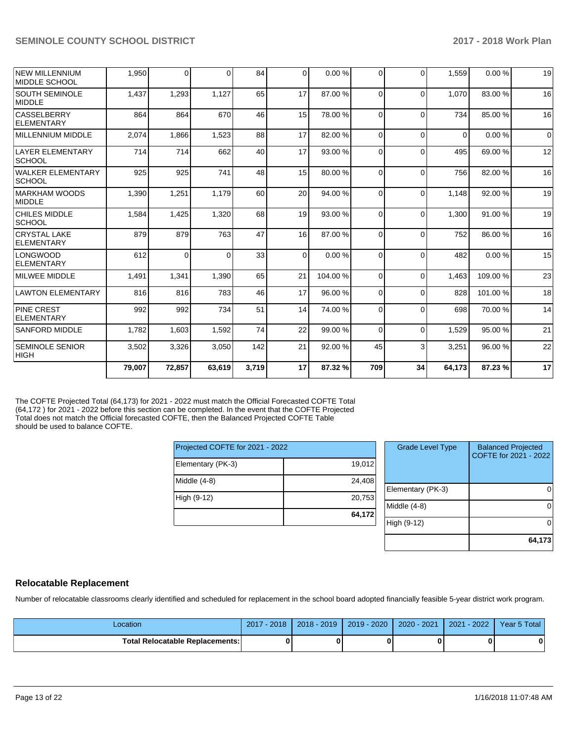| <b>NEW MILLENNIUM</b><br>MIDDLE SCHOOL   | 1,950  | $\Omega$ | $\Omega$ | 84    | $\Omega$       | 0.00%   | $\Omega$ | $\Omega$ | 1,559    | 0.00%   | 19          |
|------------------------------------------|--------|----------|----------|-------|----------------|---------|----------|----------|----------|---------|-------------|
| <b>SOUTH SEMINOLE</b><br><b>MIDDLE</b>   | 1,437  | 1,293    | 1,127    | 65    | 17             | 87.00 % | $\Omega$ | $\Omega$ | 1.070    | 83.00 % | 16          |
| <b>CASSELBERRY</b><br>ELEMENTARY         | 864    | 864      | 670      | 46    | 15             | 78.00%  | $\Omega$ | $\Omega$ | 734      | 85.00 % | 16          |
| MILLENNIUM MIDDLE                        | 2,074  | 1,866    | 1,523    | 88    | 17             | 82.00%  | $\Omega$ | $\Omega$ | $\Omega$ | 0.00%   | $\mathbf 0$ |
| LAYER ELEMENTARY<br><b>SCHOOL</b>        | 714    | 714      | 662      | 40    | 17             | 93.00 % | $\Omega$ | $\Omega$ | 495      | 69.00 % | 12          |
| WALKER ELEMENTARY<br> SCHOOL             | 925    | 925      | 741      | 48    | 15             | 80.00 % | $\Omega$ | $\Omega$ | 756      | 82.00 % | 16          |
| <b>IMARKHAM WOODS</b><br><b>MIDDLE</b>   | 1,390  | 1,251    | 1,179    | 60    | 20             | 94.00 % | $\Omega$ | $\Omega$ | 1.148    | 92.00 % | 19          |
| <b>CHILES MIDDLE</b><br> SCHOOL          | 1,584  | 1,425    | 1,320    | 68    | 19             | 93.00 % | $\Omega$ | $\Omega$ | 1,300    | 91.00%  | 19          |
| <b>CRYSTAL LAKE</b><br><b>ELEMENTARY</b> | 879    | 879      | 763      | 47    | 16             | 87.00 % | $\Omega$ | $\Omega$ | 752      | 86.00 % | 16          |
| <b>LONGWOOD</b><br>ELEMENTARY            | 612    | $\Omega$ | 0        | 33    | $\overline{0}$ | 0.00%   | $\Omega$ | $\Omega$ | 482      | 0.00%   | 15          |
| MILWEE MIDDLE                            | 1,491  | 1,341    | 1,390    | 65    | 21             | 104.00% | $\Omega$ | $\Omega$ | 1.463    | 109.00% | 23          |
| LAWTON ELEMENTARY                        | 816    | 816      | 783      | 46    | 17             | 96.00 % | $\Omega$ | $\Omega$ | 828      | 101.00% | 18          |
| <b>PINE CREST</b><br><b>FI FMFNTARY</b>  | 992    | 992      | 734      | 51    | 14             | 74.00 % | $\Omega$ | $\Omega$ | 698      | 70.00 % | 14          |
| <b>SANFORD MIDDLE</b>                    | 1,782  | 1,603    | 1,592    | 74    | 22             | 99.00 % | $\Omega$ | $\Omega$ | 1.529    | 95.00 % | 21          |
| <b>SEMINOLE SENIOR</b><br><b>IHIGH</b>   | 3,502  | 3,326    | 3,050    | 142   | 21             | 92.00 % | 45       | 3        | 3.251    | 96.00 % | 22          |
|                                          | 79.007 | 72,857   | 63,619   | 3,719 | 17             | 87.32 % | 709      | 34       | 64.173   | 87.23%  | 17          |

The COFTE Projected Total (64,173) for 2021 - 2022 must match the Official Forecasted COFTE Total (64,172 ) for 2021 - 2022 before this section can be completed. In the event that the COFTE Projected Total does not match the Official forecasted COFTE, then the Balanced Projected COFTE Table should be used to balance COFTE.

| Projected COFTE for 2021 - 2022 |        |
|---------------------------------|--------|
| Elementary (PK-3)               | 19,012 |
| Middle (4-8)                    | 24.408 |
| High (9-12)                     | 20,753 |
|                                 | 64.172 |

| <b>Grade Level Type</b> | <b>Balanced Projected</b><br>COFTE for 2021 - 2022 |
|-------------------------|----------------------------------------------------|
| Elementary (PK-3)       |                                                    |
| Middle $(4-8)$          |                                                    |
| High (9-12)             |                                                    |
|                         | 64,173                                             |

# **Relocatable Replacement**

Number of relocatable classrooms clearly identified and scheduled for replacement in the school board adopted financially feasible 5-year district work program.

| Location                               | 2017 - 2018 | 2018 - 2019 | 2019 - 2020 | 2020 - 2021 | 2021 - 2022 | Year 5 Total |
|----------------------------------------|-------------|-------------|-------------|-------------|-------------|--------------|
| <b>Total Relocatable Replacements:</b> |             |             |             |             |             |              |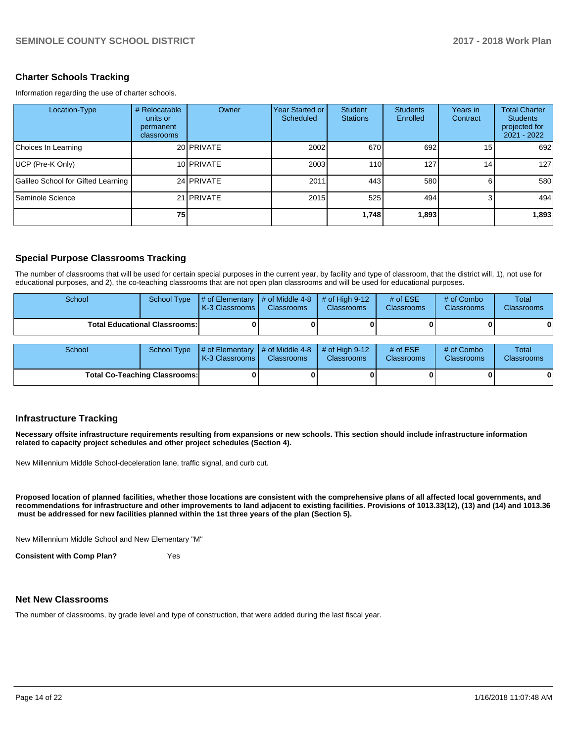## **Charter Schools Tracking**

Information regarding the use of charter schools.

| Location-Type                      | # Relocatable<br>units or<br>permanent<br>classrooms | Owner      | Year Started or I<br>Scheduled | Student<br><b>Stations</b> | <b>Students</b><br>Enrolled | Years in<br>Contract | <b>Total Charter</b><br><b>Students</b><br>projected for<br>2021 - 2022 |
|------------------------------------|------------------------------------------------------|------------|--------------------------------|----------------------------|-----------------------------|----------------------|-------------------------------------------------------------------------|
| Choices In Learning                |                                                      | 20 PRIVATE | 2002                           | 670                        | 692                         | 15 <sub>l</sub>      | 692                                                                     |
| UCP (Pre-K Only)                   |                                                      | 10 PRIVATE | 2003                           | 110                        | 127 <sub>1</sub>            | 14 <sub>1</sub>      | 127                                                                     |
| Galileo School for Gifted Learning |                                                      | 24 PRIVATE | 2011                           | 443                        | 580                         |                      | 580                                                                     |
| Seminole Science                   |                                                      | 21 PRIVATE | 2015                           | 525                        | 494                         |                      | 494                                                                     |
|                                    | <b>751</b>                                           |            |                                | 1,748                      | 1,893                       |                      | 1,893                                                                   |

# **Special Purpose Classrooms Tracking**

The number of classrooms that will be used for certain special purposes in the current year, by facility and type of classroom, that the district will, 1), not use for educational purposes, and 2), the co-teaching classrooms that are not open plan classrooms and will be used for educational purposes.

| School | <b>School Type</b>                   | # of Elementary<br>K-3 Classrooms | $\#$ of Middle 4-8<br><b>Classrooms</b> | # of High $9-12$<br><b>Classrooms</b> | # of $ESE$<br><b>Classrooms</b> | # of Combo<br><b>Classrooms</b> | Total<br><b>Classrooms</b> |
|--------|--------------------------------------|-----------------------------------|-----------------------------------------|---------------------------------------|---------------------------------|---------------------------------|----------------------------|
|        | <b>Total Educational Classrooms:</b> |                                   |                                         |                                       |                                 |                                 | 01                         |
| School | <b>School Type</b>                   | # of Elementary<br>K-3 Classrooms | $\#$ of Middle 4-8<br><b>Classrooms</b> | # of High $9-12$<br><b>Classrooms</b> | # of $ESE$<br>Classrooms        | # of Combo<br><b>Classrooms</b> | Total<br>Classrooms        |
|        | <b>Total Co-Teaching Classrooms:</b> |                                   |                                         |                                       |                                 |                                 | 0                          |

### **Infrastructure Tracking**

**Necessary offsite infrastructure requirements resulting from expansions or new schools. This section should include infrastructure information related to capacity project schedules and other project schedules (Section 4).** 

New Millennium Middle School-deceleration lane, traffic signal, and curb cut.

**Proposed location of planned facilities, whether those locations are consistent with the comprehensive plans of all affected local governments, and recommendations for infrastructure and other improvements to land adjacent to existing facilities. Provisions of 1013.33(12), (13) and (14) and 1013.36 must be addressed for new facilities planned within the 1st three years of the plan (Section 5).** 

New Millennium Middle School and New Elementary "M"

**Consistent with Comp Plan?** Yes

### **Net New Classrooms**

The number of classrooms, by grade level and type of construction, that were added during the last fiscal year.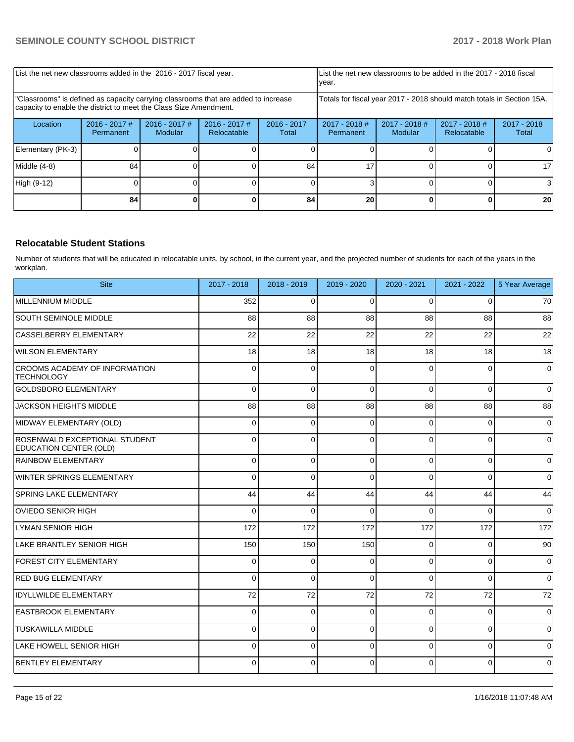| List the net new classrooms added in the 2016 - 2017 fiscal year.                                                                                       |                              |                            |                                                                        |                        | List the net new classrooms to be added in the 2017 - 2018 fiscal<br>year. |                            |                                |                        |
|---------------------------------------------------------------------------------------------------------------------------------------------------------|------------------------------|----------------------------|------------------------------------------------------------------------|------------------------|----------------------------------------------------------------------------|----------------------------|--------------------------------|------------------------|
| "Classrooms" is defined as capacity carrying classrooms that are added to increase<br>capacity to enable the district to meet the Class Size Amendment. |                              |                            | Totals for fiscal year 2017 - 2018 should match totals in Section 15A. |                        |                                                                            |                            |                                |                        |
| Location                                                                                                                                                | $2016 - 2017$ #<br>Permanent | $2016 - 2017$ #<br>Modular | $2016 - 2017$ #<br>Relocatable                                         | $2016 - 2017$<br>Total | $2017 - 2018$ #<br>Permanent                                               | $2017 - 2018$ #<br>Modular | $2017 - 2018$ #<br>Relocatable | $2017 - 2018$<br>Total |
| Elementary (PK-3)                                                                                                                                       |                              |                            |                                                                        |                        |                                                                            |                            |                                |                        |
| Middle (4-8)                                                                                                                                            | 84                           |                            |                                                                        | 84                     | 17                                                                         |                            |                                | 17                     |
| High (9-12)                                                                                                                                             |                              |                            |                                                                        |                        |                                                                            |                            |                                |                        |
|                                                                                                                                                         | 84                           |                            |                                                                        | 84                     | 20                                                                         |                            |                                | 20                     |

## **Relocatable Student Stations**

Number of students that will be educated in relocatable units, by school, in the current year, and the projected number of students for each of the years in the workplan.

| <b>Site</b>                                                    | 2017 - 2018 | 2018 - 2019 | 2019 - 2020 | 2020 - 2021 | 2021 - 2022    | 5 Year Average |
|----------------------------------------------------------------|-------------|-------------|-------------|-------------|----------------|----------------|
| MILLENNIUM MIDDLE                                              | 352         | $\Omega$    | $\Omega$    | $\Omega$    | $\Omega$       | 70             |
| <b>SOUTH SEMINOLE MIDDLE</b>                                   | 88          | 88          | 88          | 88          | 88             | 88             |
| CASSELBERRY ELEMENTARY                                         | 22          | 22          | 22          | 22          | 22             | 22             |
| <b>WILSON ELEMENTARY</b>                                       | 18          | 18          | 18          | 18          | 18             | 18             |
| <b>CROOMS ACADEMY OF INFORMATION</b><br><b>TECHNOLOGY</b>      | $\Omega$    | 0           | $\Omega$    | $\Omega$    | $\Omega$       | $\mathbf 0$    |
| <b>GOLDSBORO ELEMENTARY</b>                                    | $\Omega$    | $\mathbf 0$ | $\Omega$    | $\Omega$    | $\overline{0}$ | $\overline{0}$ |
| <b>JACKSON HEIGHTS MIDDLE</b>                                  | 88          | 88          | 88          | 88          | 88             | 88             |
| MIDWAY ELEMENTARY (OLD)                                        | $\Omega$    | $\Omega$    | $\Omega$    | $\Omega$    | $\Omega$       | $\overline{0}$ |
| ROSENWALD EXCEPTIONAL STUDENT<br><b>EDUCATION CENTER (OLD)</b> | 0           | $\mathbf 0$ | $\Omega$    | $\Omega$    | $\mathbf 0$    | $\mathbf 0$    |
| <b>RAINBOW ELEMENTARY</b>                                      | 0           | $\mathbf 0$ | $\Omega$    | $\Omega$    | $\overline{0}$ | $\overline{0}$ |
| WINTER SPRINGS ELEMENTARY                                      | $\Omega$    | $\Omega$    | $\Omega$    | $\Omega$    | $\Omega$       | $\overline{0}$ |
| <b>SPRING LAKE ELEMENTARY</b>                                  | 44          | 44          | 44          | 44          | 44             | 44             |
| <b>OVIEDO SENIOR HIGH</b>                                      | $\Omega$    | $\mathbf 0$ | $\Omega$    | $\Omega$    | $\Omega$       | $\overline{0}$ |
| LYMAN SENIOR HIGH                                              | 172         | 172         | 172         | 172         | 172            | 172            |
| LAKE BRANTLEY SENIOR HIGH                                      | 150         | 150         | 150         | $\Omega$    | $\Omega$       | 90             |
| <b>FOREST CITY ELEMENTARY</b>                                  | 0           | 0           | ſ           | $\Omega$    | $\mathbf 0$    | $\overline{0}$ |
| <b>RED BUG ELEMENTARY</b>                                      | $\Omega$    | $\Omega$    | $\Omega$    | $\Omega$    | $\Omega$       | $\overline{0}$ |
| <b>IDYLLWILDE ELEMENTARY</b>                                   | 72          | 72          | 72          | 72          | 72             | 72             |
| <b>EASTBROOK ELEMENTARY</b>                                    | $\Omega$    | $\mathbf 0$ | $\Omega$    | $\Omega$    | $\Omega$       | $\overline{0}$ |
| <b>TUSKAWILLA MIDDLE</b>                                       | $\Omega$    | $\mathbf 0$ | $\Omega$    | $\Omega$    | $\Omega$       | $\overline{0}$ |
| LAKE HOWELL SENIOR HIGH                                        | 0           | 0           | $\Omega$    | $\Omega$    | $\overline{0}$ | $\mathbf 0$    |
| <b>BENTLEY ELEMENTARY</b>                                      | $\Omega$    | $\Omega$    | $\Omega$    | $\Omega$    | $\overline{0}$ | $\overline{0}$ |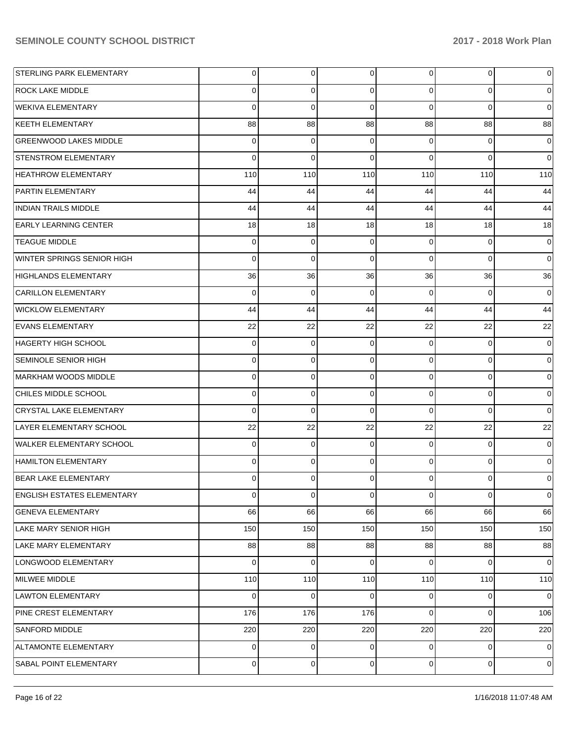| STERLING PARK ELEMENTARY          | $\overline{0}$ | $\overline{0}$ | $\overline{0}$ | $\Omega$       | $\overline{0}$ | 0              |
|-----------------------------------|----------------|----------------|----------------|----------------|----------------|----------------|
| <b>ROCK LAKE MIDDLE</b>           | 0              | 0              | $\Omega$       | $\Omega$       | $\Omega$       | 0              |
| <b>WEKIVA ELEMENTARY</b>          | $\Omega$       | $\Omega$       | $\Omega$       | $\Omega$       | $\Omega$       | $\Omega$       |
| <b>KEETH ELEMENTARY</b>           | 88             | 88             | 88             | 88             | 88             | 88             |
| <b>GREENWOOD LAKES MIDDLE</b>     | 0              | 0              | $\Omega$       | $\Omega$       | $\Omega$       | $\Omega$       |
| <b>STENSTROM ELEMENTARY</b>       | $\Omega$       | $\Omega$       | $\Omega$       | $\Omega$       | $\Omega$       | $\Omega$       |
| <b>HEATHROW ELEMENTARY</b>        | 110            | 110            | 110            | 110            | 110            | 110            |
| <b>PARTIN ELEMENTARY</b>          | 44             | 44             | 44             | 44             | 44             | 44             |
| <b>INDIAN TRAILS MIDDLE</b>       | 44             | 44             | 44             | 44             | 44             | 44             |
| <b>EARLY LEARNING CENTER</b>      | 18             | 18             | 18             | 18             | 18             | 18             |
| <b>TEAGUE MIDDLE</b>              | 0              | 0              | $\Omega$       | $\Omega$       | $\Omega$       | 0              |
| WINTER SPRINGS SENIOR HIGH        | $\Omega$       | $\Omega$       | $\Omega$       | $\Omega$       | $\Omega$       | 0              |
| <b>HIGHLANDS ELEMENTARY</b>       | 36             | 36             | 36             | 36             | 36             | 36             |
| <b>CARILLON ELEMENTARY</b>        | $\Omega$       | 0              | $\Omega$       | $\Omega$       | $\Omega$       | 0              |
| <b>WICKLOW ELEMENTARY</b>         | 44             | 44             | 44             | 44             | 44             | 44             |
| <b>EVANS ELEMENTARY</b>           | 22             | 22             | 22             | 22             | 22             | 22             |
| HAGERTY HIGH SCHOOL               | 0              | 0              | $\Omega$       | $\Omega$       | $\Omega$       | $\Omega$       |
| <b>SEMINOLE SENIOR HIGH</b>       | 0              | 0              | $\Omega$       | $\Omega$       | $\Omega$       | 0              |
| MARKHAM WOODS MIDDLE              | 0              | $\overline{0}$ | $\Omega$       | $\Omega$       | $\Omega$       | $\Omega$       |
| CHILES MIDDLE SCHOOL              | 0              | 0              | $\Omega$       | $\Omega$       | $\mathbf 0$    | 0              |
| <b>CRYSTAL LAKE ELEMENTARY</b>    | $\Omega$       | $\Omega$       | $\Omega$       | $\Omega$       | $\Omega$       | $\Omega$       |
| LAYER ELEMENTARY SCHOOL           | 22             | 22             | 22             | 22             | 22             | 22             |
| <b>WALKER ELEMENTARY SCHOOL</b>   | 0              | $\overline{0}$ | $\Omega$       | $\Omega$       | $\Omega$       | $\Omega$       |
| <b>HAMILTON ELEMENTARY</b>        | $\Omega$       | 0              | $\Omega$       | $\Omega$       | $\mathbf 0$    | $\Omega$       |
| <b>BEAR LAKE ELEMENTARY</b>       | 0              | $\Omega$       | $\Omega$       | $\Omega$       | $\Omega$       | 0              |
| <b>ENGLISH ESTATES ELEMENTARY</b> | $\mathbf 0$    | $\overline{0}$ | $\overline{0}$ | $\overline{0}$ | $\overline{0}$ | 0              |
| <b>GENEVA ELEMENTARY</b>          | 66             | 66             | 66             | 66             | 66             | 66             |
| LAKE MARY SENIOR HIGH             | 150            | 150            | 150            | 150            | 150            | 150            |
| LAKE MARY ELEMENTARY              | 88             | 88             | 88             | 88             | 88             | 88             |
| LONGWOOD ELEMENTARY               | $\mathbf 0$    | 0              | $\Omega$       | $\Omega$       | $\mathbf 0$    | 0              |
| MILWEE MIDDLE                     | 110            | 110            | 110            | 110            | 110            | 110            |
| <b>LAWTON ELEMENTARY</b>          | 0              | $\overline{0}$ | 0              | $\Omega$       | 0              | 0              |
| <b>PINE CREST ELEMENTARY</b>      | 176            | 176            | 176            | $\Omega$       | $\mathbf 0$    | 106            |
| SANFORD MIDDLE                    | 220            | 220            | 220            | 220            | 220            | 220            |
| ALTAMONTE ELEMENTARY              | $\overline{0}$ | $\overline{0}$ | 0              | $\Omega$       | $\mathbf 0$    | $\overline{0}$ |
| SABAL POINT ELEMENTARY            | $\mathbf 0$    | $\overline{0}$ | $\mathbf 0$    | $\overline{0}$ | 0              | $\overline{0}$ |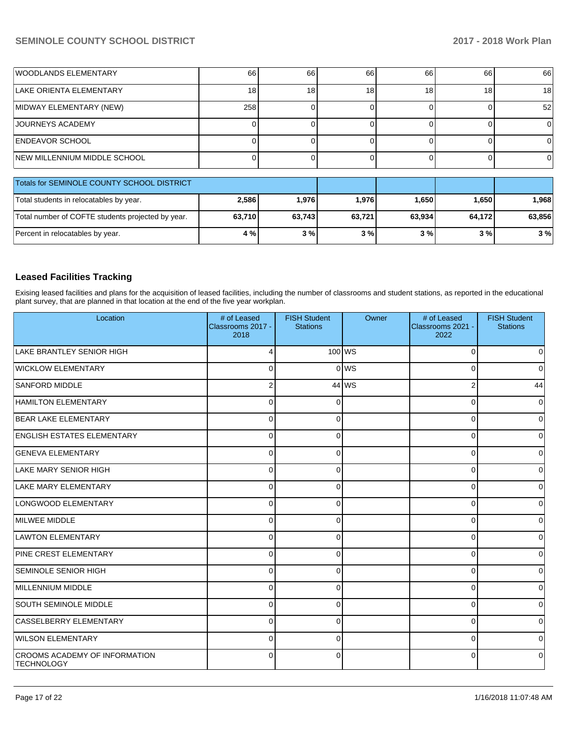| <b>WOODLANDS ELEMENTARY</b>                       | 66     | 66     | 66     | 66     | 66           | 66     |
|---------------------------------------------------|--------|--------|--------|--------|--------------|--------|
| LAKE ORIENTA ELEMENTARY                           | 18     | 18     | 18     | 18     | 18           | 18     |
| MIDWAY ELEMENTARY (NEW)                           | 258    |        |        |        |              | 52     |
| <b>JOURNEYS ACADEMY</b>                           |        |        |        |        |              | 0      |
| <b>ENDEAVOR SCHOOL</b>                            |        |        |        |        |              | 0      |
| <b>INEW MILLENNIUM MIDDLE SCHOOL</b>              |        |        | 0      | 0      | <sup>n</sup> | 0      |
| Totals for SEMINOLE COUNTY SCHOOL DISTRICT        |        |        |        |        |              |        |
| Total students in relocatables by year.           | 2,586  | 1,976  | 1,976  | 1,650  | 1,650        | 1,968  |
| Total number of COFTE students projected by year. | 63,710 | 63,743 | 63,721 | 63,934 | 64,172       | 63,856 |
| Percent in relocatables by year.                  | 4 %    | 3%     | 3%     | 3%     | 3%           | 3%     |

## **Leased Facilities Tracking**

Exising leased facilities and plans for the acquisition of leased facilities, including the number of classrooms and student stations, as reported in the educational plant survey, that are planned in that location at the end of the five year workplan.

| Location                                           | # of Leased<br>Classrooms 2017 -<br>2018 | <b>FISH Student</b><br><b>Stations</b> | Owner  | # of Leased<br>Classrooms 2021 -<br>2022 | <b>FISH Student</b><br><b>Stations</b> |
|----------------------------------------------------|------------------------------------------|----------------------------------------|--------|------------------------------------------|----------------------------------------|
| <b>LAKE BRANTLEY SENIOR HIGH</b>                   | Δ                                        |                                        | 100 WS | $\Omega$                                 | o                                      |
| <b>WICKLOW ELEMENTARY</b>                          | $\Omega$                                 |                                        | 0 WS   | $\Omega$                                 | 0                                      |
| <b>SANFORD MIDDLE</b>                              | $\overline{2}$                           |                                        | 44 WS  | $\overline{2}$                           | 44                                     |
| <b>HAMILTON ELEMENTARY</b>                         | $\Omega$                                 | $\Omega$                               |        | $\Omega$                                 | $\Omega$                               |
| <b>BEAR LAKE ELEMENTARY</b>                        | $\mathbf 0$                              | $\Omega$                               |        | 0                                        | $\Omega$                               |
| <b>ENGLISH ESTATES ELEMENTARY</b>                  | $\mathbf 0$                              | 0                                      |        | 0                                        | 0                                      |
| <b>GENEVA ELEMENTARY</b>                           | $\mathbf 0$                              | 0                                      |        | 0                                        | 0                                      |
| LAKE MARY SENIOR HIGH                              | $\mathbf 0$                              | $\Omega$                               |        | 0                                        | 0                                      |
| LAKE MARY ELEMENTARY                               | $\mathbf 0$                              | $\Omega$                               |        | 0                                        | <sup>0</sup>                           |
| LONGWOOD ELEMENTARY                                | $\mathbf 0$                              | 0                                      |        | 0                                        | 0                                      |
| MILWEE MIDDLE                                      | $\mathbf 0$                              | 0                                      |        | 0                                        | U                                      |
| <b>LAWTON ELEMENTARY</b>                           | $\mathbf 0$                              | $\Omega$                               |        | 0                                        | <sup>0</sup>                           |
| <b>PINE CREST ELEMENTARY</b>                       | $\mathbf 0$                              | $\Omega$                               |        | $\Omega$                                 | 0                                      |
| <b>SEMINOLE SENIOR HIGH</b>                        | $\Omega$                                 | $\Omega$                               |        | 0                                        | 0                                      |
| MILLENNIUM MIDDLE                                  | $\mathbf 0$                              | 0                                      |        | 0                                        | 0                                      |
| <b>SOUTH SEMINOLE MIDDLE</b>                       | $\mathbf 0$                              | $\Omega$                               |        | 0                                        | $\Omega$                               |
| CASSELBERRY ELEMENTARY                             | $\mathbf 0$                              | $\Omega$                               |        | 0                                        | $\Omega$                               |
| <b>WILSON ELEMENTARY</b>                           | $\Omega$                                 | $\Omega$                               |        | $\Omega$                                 | $\Omega$                               |
| CROOMS ACADEMY OF INFORMATION<br><b>TECHNOLOGY</b> | $\Omega$                                 | $\Omega$                               |        | $\Omega$                                 | 0                                      |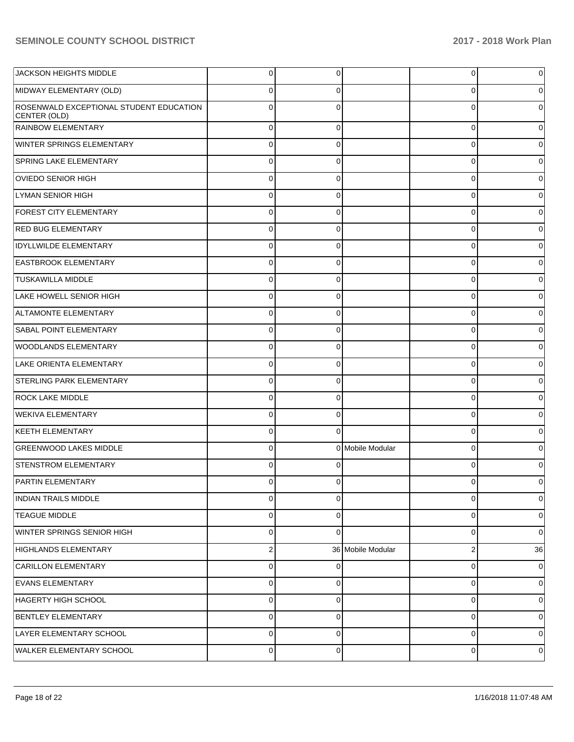| JACKSON HEIGHTS MIDDLE                                  | $\overline{0}$ | 0           |                   | $\overline{0}$ | 0           |
|---------------------------------------------------------|----------------|-------------|-------------------|----------------|-------------|
| MIDWAY ELEMENTARY (OLD)                                 | $\mathbf 0$    | 0           |                   | 0              | 0           |
| ROSENWALD EXCEPTIONAL STUDENT EDUCATION<br>CENTER (OLD) | $\mathbf 0$    | $\Omega$    |                   | $\Omega$       | $\Omega$    |
| RAINBOW ELEMENTARY                                      | $\mathbf{0}$   | $\Omega$    |                   | $\mathbf 0$    | 0           |
| WINTER SPRINGS ELEMENTARY                               | $\mathbf 0$    | $\Omega$    |                   | $\mathbf 0$    | 0           |
| <b>SPRING LAKE ELEMENTARY</b>                           | $\mathbf 0$    | $\Omega$    |                   | $\mathbf 0$    | 0           |
| OVIEDO SENIOR HIGH                                      | $\mathbf 0$    | $\Omega$    |                   | $\mathbf 0$    | $\Omega$    |
| LYMAN SENIOR HIGH                                       | $\mathbf 0$    | $\Omega$    |                   | $\mathbf 0$    | 0           |
| <b>FOREST CITY ELEMENTARY</b>                           | $\mathbf 0$    | $\Omega$    |                   | $\mathbf 0$    | $\Omega$    |
| <b>RED BUG ELEMENTARY</b>                               | $\mathbf 0$    | $\Omega$    |                   | $\mathbf 0$    | 0           |
| <b>IDYLLWILDE ELEMENTARY</b>                            | $\mathbf 0$    | $\Omega$    |                   | $\mathbf 0$    | 0           |
| <b>EASTBROOK ELEMENTARY</b>                             | $\mathbf 0$    | $\Omega$    |                   | $\mathbf 0$    | 0           |
| <b>TUSKAWILLA MIDDLE</b>                                | $\mathbf 0$    | $\Omega$    |                   | $\mathbf 0$    | $\Omega$    |
| LAKE HOWELL SENIOR HIGH                                 | $\mathbf 0$    | $\Omega$    |                   | $\mathbf 0$    | 0           |
| ALTAMONTE ELEMENTARY                                    | $\mathbf 0$    | $\Omega$    |                   | $\mathbf 0$    | $\Omega$    |
| <b>SABAL POINT ELEMENTARY</b>                           | $\mathbf 0$    | $\Omega$    |                   | $\mathbf 0$    | 0           |
| <b>WOODLANDS ELEMENTARY</b>                             | $\mathbf 0$    | $\Omega$    |                   | $\mathbf 0$    | 0           |
| LAKE ORIENTA ELEMENTARY                                 | $\mathbf 0$    | $\Omega$    |                   | $\mathbf 0$    | 0           |
| STERLING PARK ELEMENTARY                                | $\mathbf 0$    | $\Omega$    |                   | $\mathbf 0$    | 0           |
| <b>ROCK LAKE MIDDLE</b>                                 | $\mathbf 0$    | $\Omega$    |                   | $\mathbf 0$    | 0           |
| <b>WEKIVA ELEMENTARY</b>                                | $\mathbf 0$    | $\Omega$    |                   | $\mathbf 0$    | $\Omega$    |
| <b>KEETH ELEMENTARY</b>                                 | $\mathbf 0$    | $\Omega$    |                   | $\mathbf 0$    | 0           |
| <b>GREENWOOD LAKES MIDDLE</b>                           | $\pmb{0}$      |             | 0 Mobile Modular  | $\mathbf 0$    | $\Omega$    |
| <b>STENSTROM ELEMENTARY</b>                             | $\mathbf 0$    | $\Omega$    |                   | $\Omega$       | 0           |
| <b>PARTIN ELEMENTARY</b>                                | $\mathbf 0$    | 0           |                   | 0              | 0           |
| <b>INDIAN TRAILS MIDDLE</b>                             | $\mathbf 0$    | $\Omega$    |                   | $\mathbf 0$    | 0           |
| <b>TEAGUE MIDDLE</b>                                    | $\mathbf{0}$   | $\Omega$    |                   | $\mathbf 0$    | 0           |
| WINTER SPRINGS SENIOR HIGH                              | $\mathbf 0$    | $\Omega$    |                   | $\mathbf 0$    | $\mathbf 0$ |
| <b>HIGHLANDS ELEMENTARY</b>                             | $\overline{2}$ |             | 36 Mobile Modular | $\overline{2}$ | 36          |
| <b>CARILLON ELEMENTARY</b>                              | $\mathbf{0}$   | $\Omega$    |                   | $\mathbf 0$    | 0           |
| <b>EVANS ELEMENTARY</b>                                 | $\mathbf{0}$   | $\Omega$    |                   | $\mathbf 0$    | 0           |
| HAGERTY HIGH SCHOOL                                     | $\mathbf 0$    | $\Omega$    |                   | $\mathbf 0$    | $\mathbf 0$ |
| <b>BENTLEY ELEMENTARY</b>                               | $\mathbf{0}$   | $\Omega$    |                   | $\mathbf 0$    | $\mathbf 0$ |
| LAYER ELEMENTARY SCHOOL                                 | $\mathbf 0$    | $\Omega$    |                   | $\mathbf 0$    | $\mathbf 0$ |
| WALKER ELEMENTARY SCHOOL                                | $\mathbf 0$    | $\mathbf 0$ |                   | $\mathbf 0$    | 0           |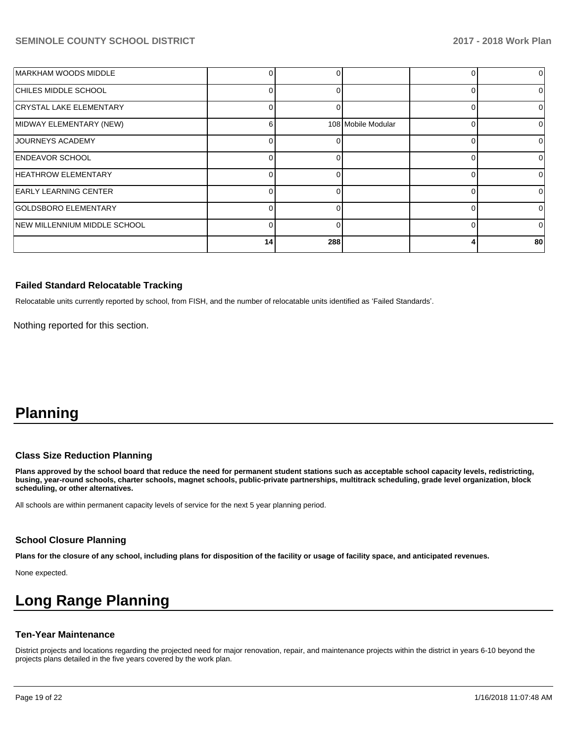| MARKHAM WOODS MIDDLE         |    |     |                    | $\Omega$ |
|------------------------------|----|-----|--------------------|----------|
| CHILES MIDDLE SCHOOL         |    |     |                    | $\Omega$ |
| CRYSTAL LAKE ELEMENTARY      |    |     |                    |          |
| MIDWAY ELEMENTARY (NEW)      | ิค |     | 108 Mobile Modular | 0        |
| JOURNEYS ACADEMY             |    |     |                    |          |
| <b>ENDEAVOR SCHOOL</b>       |    |     |                    | O.       |
| <b>HEATHROW ELEMENTARY</b>   |    |     |                    | O        |
| <b>EARLY LEARNING CENTER</b> |    |     |                    | 0        |
| GOLDSBORO ELEMENTARY         |    |     |                    |          |
| NEW MILLENNIUM MIDDLE SCHOOL |    |     |                    | 0        |
|                              | 14 | 288 |                    | 80       |

#### **Failed Standard Relocatable Tracking**

Relocatable units currently reported by school, from FISH, and the number of relocatable units identified as 'Failed Standards'.

Nothing reported for this section.

# **Planning**

#### **Class Size Reduction Planning**

**Plans approved by the school board that reduce the need for permanent student stations such as acceptable school capacity levels, redistricting, busing, year-round schools, charter schools, magnet schools, public-private partnerships, multitrack scheduling, grade level organization, block scheduling, or other alternatives.**

All schools are within permanent capacity levels of service for the next 5 year planning period.

#### **School Closure Planning**

**Plans for the closure of any school, including plans for disposition of the facility or usage of facility space, and anticipated revenues.** 

None expected.

# **Long Range Planning**

#### **Ten-Year Maintenance**

District projects and locations regarding the projected need for major renovation, repair, and maintenance projects within the district in years 6-10 beyond the projects plans detailed in the five years covered by the work plan.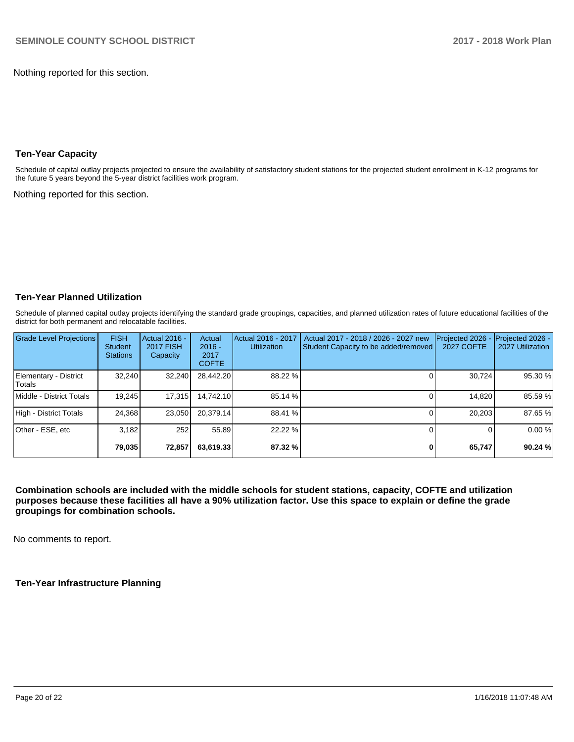Nothing reported for this section.

## **Ten-Year Capacity**

Schedule of capital outlay projects projected to ensure the availability of satisfactory student stations for the projected student enrollment in K-12 programs for the future 5 years beyond the 5-year district facilities work program.

Nothing reported for this section.

### **Ten-Year Planned Utilization**

Schedule of planned capital outlay projects identifying the standard grade groupings, capacities, and planned utilization rates of future educational facilities of the district for both permanent and relocatable facilities.

| <b>Grade Level Projections</b>   | <b>FISH</b><br><b>Student</b><br><b>Stations</b> | <b>Actual 2016 -</b><br><b>2017 FISH</b><br>Capacity | Actual<br>$2016 -$<br>2017<br><b>COFTE</b> | Actual 2016 - 2017<br><b>Utilization</b> | Actual 2017 - 2018 / 2026 - 2027 new<br>Student Capacity to be added/removed | Projected 2026 -<br><b>2027 COFTE</b> | Projected 2026 -<br>2027 Utilization |
|----------------------------------|--------------------------------------------------|------------------------------------------------------|--------------------------------------------|------------------------------------------|------------------------------------------------------------------------------|---------------------------------------|--------------------------------------|
| Elementary - District<br>lTotals | 32.240                                           | 32.240                                               | 28,442.20                                  | 88.22 %                                  |                                                                              | 30.724                                | 95.30 %                              |
| Middle - District Totals         | 19.245                                           | 17,315                                               | 14.742.10                                  | 85.14 %                                  |                                                                              | 14.820                                | 85.59 %                              |
| High - District Totals           | 24.368                                           | 23.050                                               | 20.379.14                                  | 88.41 %                                  |                                                                              | 20.203                                | 87.65%                               |
| Other - ESE, etc                 | 3.182                                            | 252                                                  | 55.89                                      | 22.22 %                                  |                                                                              |                                       | 0.00%                                |
|                                  | 79,035                                           | 72,857                                               | 63,619.33                                  | 87.32 %                                  |                                                                              | 65,747                                | 90.24 %                              |

**Combination schools are included with the middle schools for student stations, capacity, COFTE and utilization purposes because these facilities all have a 90% utilization factor. Use this space to explain or define the grade groupings for combination schools.** 

No comments to report.

**Ten-Year Infrastructure Planning**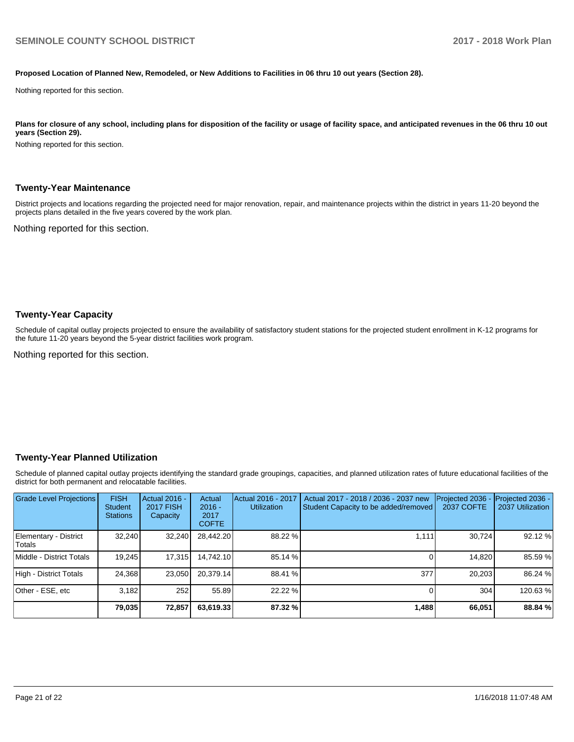#### **Proposed Location of Planned New, Remodeled, or New Additions to Facilities in 06 thru 10 out years (Section 28).**

Nothing reported for this section.

Plans for closure of any school, including plans for disposition of the facility or usage of facility space, and anticipated revenues in the 06 thru 10 out **years (Section 29).**

Nothing reported for this section.

#### **Twenty-Year Maintenance**

District projects and locations regarding the projected need for major renovation, repair, and maintenance projects within the district in years 11-20 beyond the projects plans detailed in the five years covered by the work plan.

Nothing reported for this section.

#### **Twenty-Year Capacity**

Schedule of capital outlay projects projected to ensure the availability of satisfactory student stations for the projected student enrollment in K-12 programs for the future 11-20 years beyond the 5-year district facilities work program.

Nothing reported for this section.

#### **Twenty-Year Planned Utilization**

Schedule of planned capital outlay projects identifying the standard grade groupings, capacities, and planned utilization rates of future educational facilities of the district for both permanent and relocatable facilities.

| <b>Grade Level Projections</b>   | <b>FISH</b><br><b>Student</b><br><b>Stations</b> | <b>Actual 2016 -</b><br><b>2017 FISH</b><br>Capacity | Actual<br>$2016 -$<br>2017<br><b>COFTE</b> | Actual 2016 - 2017<br><b>Utilization</b> | Actual 2017 - 2018 / 2036 - 2037 new<br>Student Capacity to be added/removed | Projected 2036<br><b>2037 COFTE</b> | <b>Projected 2036 -</b><br>2037 Utilization |
|----------------------------------|--------------------------------------------------|------------------------------------------------------|--------------------------------------------|------------------------------------------|------------------------------------------------------------------------------|-------------------------------------|---------------------------------------------|
| Elementary - District<br> Totals | 32.240                                           | 32,240                                               | 28,442.20                                  | 88.22 %                                  | 1.111                                                                        | 30.724                              | 92.12 %                                     |
| Middle - District Totals         | 19.245                                           | 17.315                                               | 14.742.10                                  | 85.14 %                                  |                                                                              | 14,820                              | 85.59 %                                     |
| High - District Totals           | 24.368                                           | 23.050                                               | 20.379.14                                  | 88.41 %                                  | 377                                                                          | 20.203                              | 86.24 %                                     |
| Other - ESE, etc                 | 3.182                                            | 252                                                  | 55.89                                      | 22.22 %                                  |                                                                              | 304                                 | 120.63%                                     |
|                                  | 79,035                                           | 72,857                                               | 63,619.33                                  | 87.32 %                                  | 1,488                                                                        | 66,051                              | 88.84 %                                     |